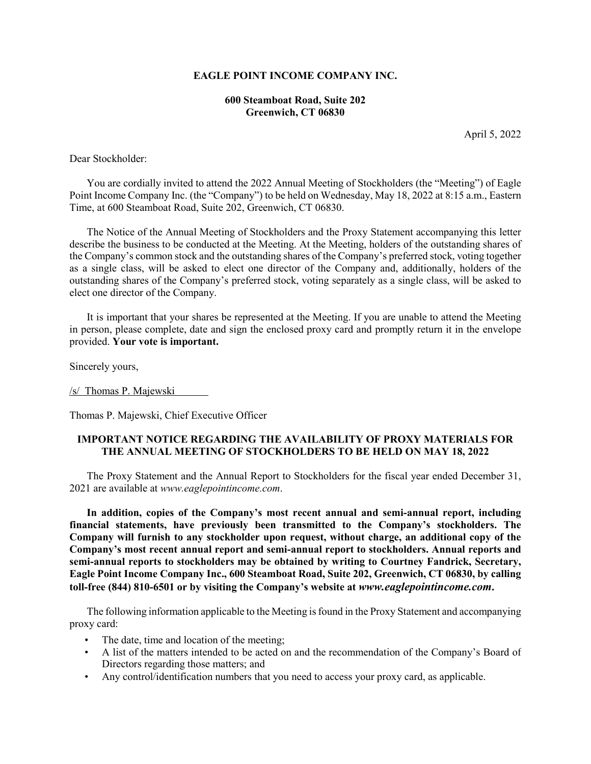#### **EAGLE POINT INCOME COMPANY INC.**

#### **600 Steamboat Road, Suite 202 Greenwich, CT 06830**

April 5, 2022

Dear Stockholder:

You are cordially invited to attend the 2022 Annual Meeting of Stockholders (the "Meeting") of Eagle Point Income Company Inc. (the "Company") to be held on Wednesday, May 18, 2022 at 8:15 a.m., Eastern Time, at 600 Steamboat Road, Suite 202, Greenwich, CT 06830.

The Notice of the Annual Meeting of Stockholders and the Proxy Statement accompanying this letter describe the business to be conducted at the Meeting. At the Meeting, holders of the outstanding shares of the Company's common stock and the outstanding shares of the Company's preferred stock, voting together as a single class, will be asked to elect one director of the Company and, additionally, holders of the outstanding shares of the Company's preferred stock, voting separately as a single class, will be asked to elect one director of the Company.

It is important that your shares be represented at the Meeting. If you are unable to attend the Meeting in person, please complete, date and sign the enclosed proxy card and promptly return it in the envelope provided. **Your vote is important.**

Sincerely yours,

/s/ Thomas P. Majewski

Thomas P. Majewski, Chief Executive Officer

#### **IMPORTANT NOTICE REGARDING THE AVAILABILITY OF PROXY MATERIALS FOR THE ANNUAL MEETING OF STOCKHOLDERS TO BE HELD ON MAY 18, 2022**

The Proxy Statement and the Annual Report to Stockholders for the fiscal year ended December 31, 2021 are available at *www.eaglepointincome.com*.

**In addition, copies of the Company's most recent annual and semi-annual report, including financial statements, have previously been transmitted to the Company's stockholders. The Company will furnish to any stockholder upon request, without charge, an additional copy of the Company's most recent annual report and semi-annual report to stockholders. Annual reports and semi-annual reports to stockholders may be obtained by writing to Courtney Fandrick, Secretary, Eagle Point Income Company Inc., 600 Steamboat Road, Suite 202, Greenwich, CT 06830, by calling toll-free (844) 810-6501 or by visiting the Company's website at** *www.eaglepointincome.com***.**

The following information applicable to the Meeting is found in the Proxy Statement and accompanying proxy card:

- The date, time and location of the meeting;
- A list of the matters intended to be acted on and the recommendation of the Company's Board of Directors regarding those matters; and
- Any control/identification numbers that you need to access your proxy card, as applicable.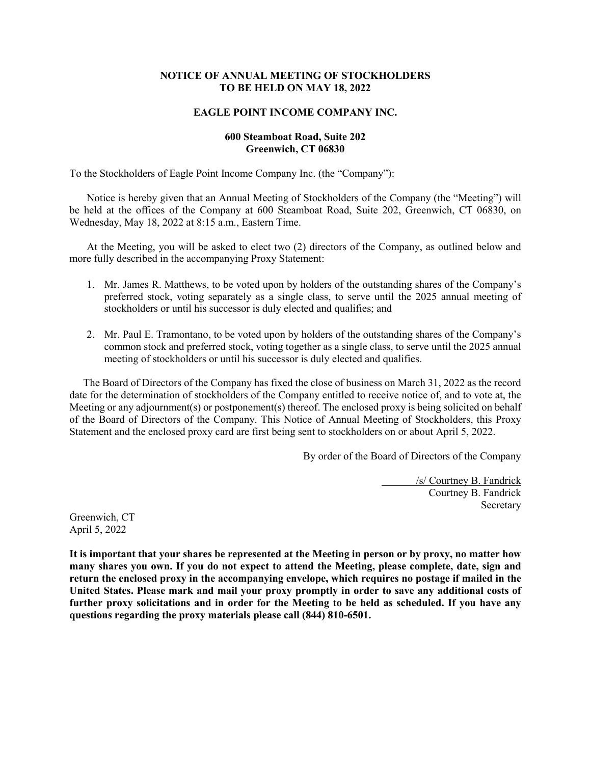#### **NOTICE OF ANNUAL MEETING OF STOCKHOLDERS TO BE HELD ON MAY 18, 2022**

#### **EAGLE POINT INCOME COMPANY INC.**

#### **600 Steamboat Road, Suite 202 Greenwich, CT 06830**

To the Stockholders of Eagle Point Income Company Inc. (the "Company"):

Notice is hereby given that an Annual Meeting of Stockholders of the Company (the "Meeting") will be held at the offices of the Company at 600 Steamboat Road, Suite 202, Greenwich, CT 06830, on Wednesday, May 18, 2022 at 8:15 a.m., Eastern Time.

At the Meeting, you will be asked to elect two (2) directors of the Company, as outlined below and more fully described in the accompanying Proxy Statement:

- 1. Mr. James R. Matthews, to be voted upon by holders of the outstanding shares of the Company's preferred stock, voting separately as a single class, to serve until the 2025 annual meeting of stockholders or until his successor is duly elected and qualifies; and
- 2. Mr. Paul E. Tramontano, to be voted upon by holders of the outstanding shares of the Company's common stock and preferred stock, voting together as a single class, to serve until the 2025 annual meeting of stockholders or until his successor is duly elected and qualifies.

The Board of Directors of the Company has fixed the close of business on March 31, 2022 as the record date for the determination of stockholders of the Company entitled to receive notice of, and to vote at, the Meeting or any adjournment(s) or postponement(s) thereof. The enclosed proxy is being solicited on behalf of the Board of Directors of the Company. This Notice of Annual Meeting of Stockholders, this Proxy Statement and the enclosed proxy card are first being sent to stockholders on or about April 5, 2022.

By order of the Board of Directors of the Company

/s/ Courtney B. Fandrick Courtney B. Fandrick Secretary

Greenwich, CT April 5, 2022

**It is important that your shares be represented at the Meeting in person or by proxy, no matter how many shares you own. If you do not expect to attend the Meeting, please complete, date, sign and return the enclosed proxy in the accompanying envelope, which requires no postage if mailed in the United States. Please mark and mail your proxy promptly in order to save any additional costs of further proxy solicitations and in order for the Meeting to be held as scheduled. If you have any questions regarding the proxy materials please call (844) 810-6501.**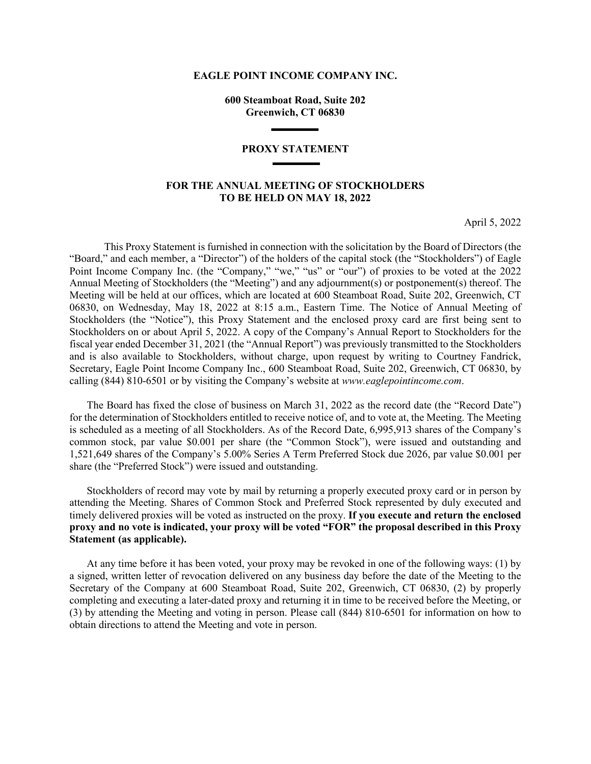#### **EAGLE POINT INCOME COMPANY INC.**

**600 Steamboat Road, Suite 202 Greenwich, CT 06830**

#### **PROXY STATEMENT**

#### **FOR THE ANNUAL MEETING OF STOCKHOLDERS TO BE HELD ON MAY 18, 2022**

April 5, 2022

This Proxy Statement is furnished in connection with the solicitation by the Board of Directors (the "Board," and each member, a "Director") of the holders of the capital stock (the "Stockholders") of Eagle Point Income Company Inc. (the "Company," "we," "us" or "our") of proxies to be voted at the 2022 Annual Meeting of Stockholders (the "Meeting") and any adjournment(s) or postponement(s) thereof. The Meeting will be held at our offices, which are located at 600 Steamboat Road, Suite 202, Greenwich, CT 06830, on Wednesday, May 18, 2022 at 8:15 a.m., Eastern Time. The Notice of Annual Meeting of Stockholders (the "Notice"), this Proxy Statement and the enclosed proxy card are first being sent to Stockholders on or about April 5, 2022. A copy of the Company's Annual Report to Stockholders for the fiscal year ended December 31, 2021 (the "Annual Report") was previously transmitted to the Stockholders and is also available to Stockholders, without charge, upon request by writing to Courtney Fandrick, Secretary, Eagle Point Income Company Inc., 600 Steamboat Road, Suite 202, Greenwich, CT 06830, by calling (844) 810-6501 or by visiting the Company's website at *www.eaglepointincome.com*.

The Board has fixed the close of business on March 31, 2022 as the record date (the "Record Date") for the determination of Stockholders entitled to receive notice of, and to vote at, the Meeting. The Meeting is scheduled as a meeting of all Stockholders. As of the Record Date, 6,995,913 shares of the Company's common stock, par value \$0.001 per share (the "Common Stock"), were issued and outstanding and 1,521,649 shares of the Company's 5.00% Series A Term Preferred Stock due 2026, par value \$0.001 per share (the "Preferred Stock") were issued and outstanding.

Stockholders of record may vote by mail by returning a properly executed proxy card or in person by attending the Meeting. Shares of Common Stock and Preferred Stock represented by duly executed and timely delivered proxies will be voted as instructed on the proxy. **If you execute and return the enclosed proxy and no vote is indicated, your proxy will be voted "FOR" the proposal described in this Proxy Statement (as applicable).**

At any time before it has been voted, your proxy may be revoked in one of the following ways: (1) by a signed, written letter of revocation delivered on any business day before the date of the Meeting to the Secretary of the Company at 600 Steamboat Road, Suite 202, Greenwich, CT 06830, (2) by properly completing and executing a later-dated proxy and returning it in time to be received before the Meeting, or (3) by attending the Meeting and voting in person. Please call (844) 810-6501 for information on how to obtain directions to attend the Meeting and vote in person.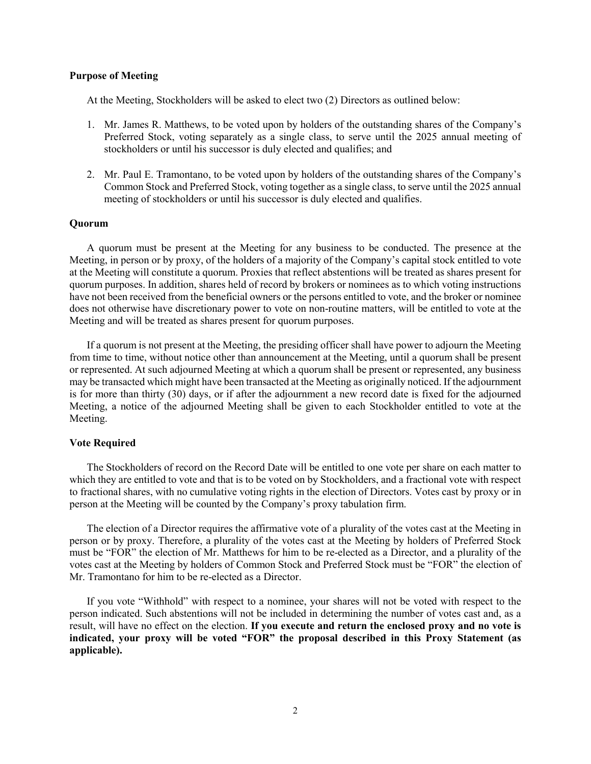#### **Purpose of Meeting**

At the Meeting, Stockholders will be asked to elect two (2) Directors as outlined below:

- 1. Mr. James R. Matthews, to be voted upon by holders of the outstanding shares of the Company's Preferred Stock, voting separately as a single class, to serve until the 2025 annual meeting of stockholders or until his successor is duly elected and qualifies; and
- 2. Mr. Paul E. Tramontano, to be voted upon by holders of the outstanding shares of the Company's Common Stock and Preferred Stock, voting together as a single class, to serve until the 2025 annual meeting of stockholders or until his successor is duly elected and qualifies.

#### **Quorum**

A quorum must be present at the Meeting for any business to be conducted. The presence at the Meeting, in person or by proxy, of the holders of a majority of the Company's capital stock entitled to vote at the Meeting will constitute a quorum. Proxies that reflect abstentions will be treated as shares present for quorum purposes. In addition, shares held of record by brokers or nominees as to which voting instructions have not been received from the beneficial owners or the persons entitled to vote, and the broker or nominee does not otherwise have discretionary power to vote on non-routine matters, will be entitled to vote at the Meeting and will be treated as shares present for quorum purposes.

If a quorum is not present at the Meeting, the presiding officer shall have power to adjourn the Meeting from time to time, without notice other than announcement at the Meeting, until a quorum shall be present or represented. At such adjourned Meeting at which a quorum shall be present or represented, any business may be transacted which might have been transacted at the Meeting as originally noticed. If the adjournment is for more than thirty (30) days, or if after the adjournment a new record date is fixed for the adjourned Meeting, a notice of the adjourned Meeting shall be given to each Stockholder entitled to vote at the Meeting.

#### **Vote Required**

The Stockholders of record on the Record Date will be entitled to one vote per share on each matter to which they are entitled to vote and that is to be voted on by Stockholders, and a fractional vote with respect to fractional shares, with no cumulative voting rights in the election of Directors. Votes cast by proxy or in person at the Meeting will be counted by the Company's proxy tabulation firm.

The election of a Director requires the affirmative vote of a plurality of the votes cast at the Meeting in person or by proxy. Therefore, a plurality of the votes cast at the Meeting by holders of Preferred Stock must be "FOR" the election of Mr. Matthews for him to be re-elected as a Director, and a plurality of the votes cast at the Meeting by holders of Common Stock and Preferred Stock must be "FOR" the election of Mr. Tramontano for him to be re-elected as a Director.

If you vote "Withhold" with respect to a nominee, your shares will not be voted with respect to the person indicated. Such abstentions will not be included in determining the number of votes cast and, as a result, will have no effect on the election. **If you execute and return the enclosed proxy and no vote is indicated, your proxy will be voted "FOR" the proposal described in this Proxy Statement (as applicable).**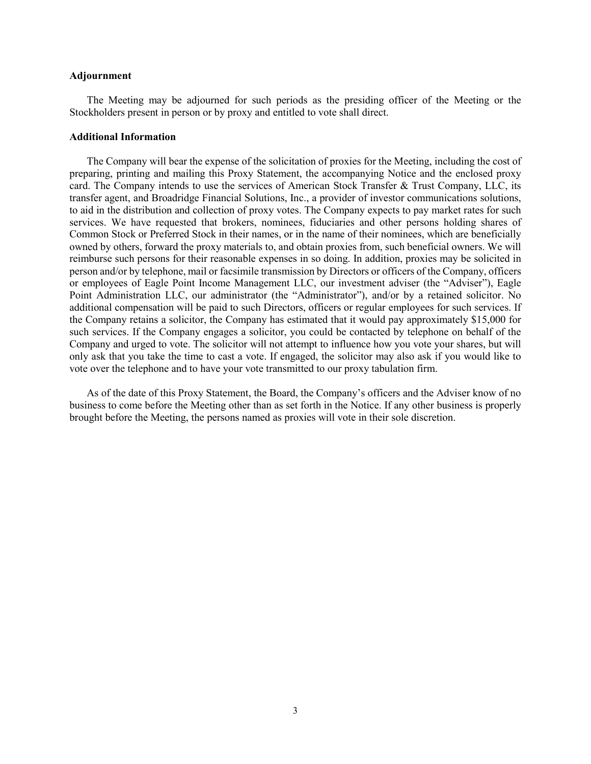#### **Adjournment**

The Meeting may be adjourned for such periods as the presiding officer of the Meeting or the Stockholders present in person or by proxy and entitled to vote shall direct.

#### **Additional Information**

The Company will bear the expense of the solicitation of proxies for the Meeting, including the cost of preparing, printing and mailing this Proxy Statement, the accompanying Notice and the enclosed proxy card. The Company intends to use the services of American Stock Transfer & Trust Company, LLC, its transfer agent, and Broadridge Financial Solutions, Inc., a provider of investor communications solutions, to aid in the distribution and collection of proxy votes. The Company expects to pay market rates for such services. We have requested that brokers, nominees, fiduciaries and other persons holding shares of Common Stock or Preferred Stock in their names, or in the name of their nominees, which are beneficially owned by others, forward the proxy materials to, and obtain proxies from, such beneficial owners. We will reimburse such persons for their reasonable expenses in so doing. In addition, proxies may be solicited in person and/or by telephone, mail or facsimile transmission by Directors or officers of the Company, officers or employees of Eagle Point Income Management LLC, our investment adviser (the "Adviser"), Eagle Point Administration LLC, our administrator (the "Administrator"), and/or by a retained solicitor. No additional compensation will be paid to such Directors, officers or regular employees for such services. If the Company retains a solicitor, the Company has estimated that it would pay approximately \$15,000 for such services. If the Company engages a solicitor, you could be contacted by telephone on behalf of the Company and urged to vote. The solicitor will not attempt to influence how you vote your shares, but will only ask that you take the time to cast a vote. If engaged, the solicitor may also ask if you would like to vote over the telephone and to have your vote transmitted to our proxy tabulation firm.

As of the date of this Proxy Statement, the Board, the Company's officers and the Adviser know of no business to come before the Meeting other than as set forth in the Notice. If any other business is properly brought before the Meeting, the persons named as proxies will vote in their sole discretion.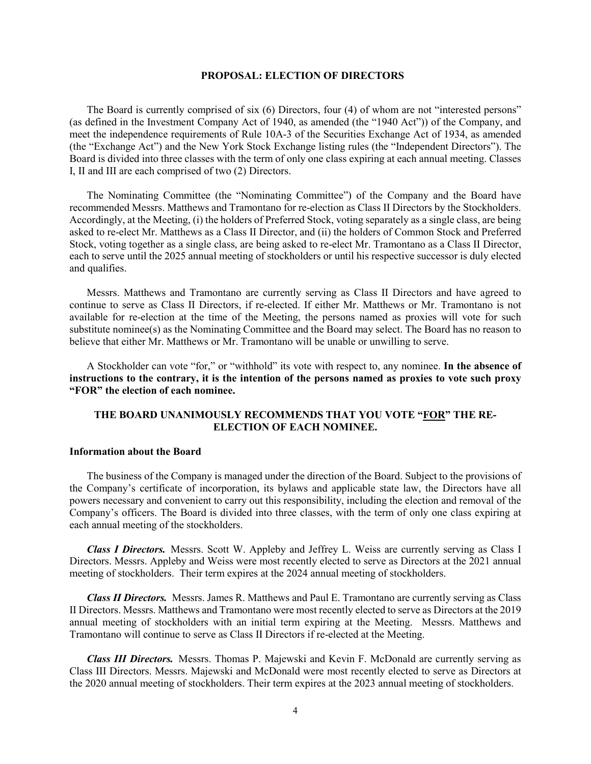#### **PROPOSAL: ELECTION OF DIRECTORS**

The Board is currently comprised of six (6) Directors, four (4) of whom are not "interested persons" (as defined in the Investment Company Act of 1940, as amended (the "1940 Act")) of the Company, and meet the independence requirements of Rule 10A-3 of the Securities Exchange Act of 1934, as amended (the "Exchange Act") and the New York Stock Exchange listing rules (the "Independent Directors"). The Board is divided into three classes with the term of only one class expiring at each annual meeting. Classes I, II and III are each comprised of two (2) Directors.

The Nominating Committee (the "Nominating Committee") of the Company and the Board have recommended Messrs. Matthews and Tramontano for re-election as Class II Directors by the Stockholders. Accordingly, at the Meeting, (i) the holders of Preferred Stock, voting separately as a single class, are being asked to re-elect Mr. Matthews as a Class II Director, and (ii) the holders of Common Stock and Preferred Stock, voting together as a single class, are being asked to re-elect Mr. Tramontano as a Class II Director, each to serve until the 2025 annual meeting of stockholders or until his respective successor is duly elected and qualifies.

Messrs. Matthews and Tramontano are currently serving as Class II Directors and have agreed to continue to serve as Class II Directors, if re-elected. If either Mr. Matthews or Mr. Tramontano is not available for re-election at the time of the Meeting, the persons named as proxies will vote for such substitute nominee(s) as the Nominating Committee and the Board may select. The Board has no reason to believe that either Mr. Matthews or Mr. Tramontano will be unable or unwilling to serve.

A Stockholder can vote "for," or "withhold" its vote with respect to, any nominee. **In the absence of instructions to the contrary, it is the intention of the persons named as proxies to vote such proxy "FOR" the election of each nominee.**

#### **THE BOARD UNANIMOUSLY RECOMMENDS THAT YOU VOTE "FOR" THE RE-ELECTION OF EACH NOMINEE.**

#### **Information about the Board**

The business of the Company is managed under the direction of the Board. Subject to the provisions of the Company's certificate of incorporation, its bylaws and applicable state law, the Directors have all powers necessary and convenient to carry out this responsibility, including the election and removal of the Company's officers. The Board is divided into three classes, with the term of only one class expiring at each annual meeting of the stockholders.

*Class I Directors.* Messrs. Scott W. Appleby and Jeffrey L. Weiss are currently serving as Class I Directors. Messrs. Appleby and Weiss were most recently elected to serve as Directors at the 2021 annual meeting of stockholders. Their term expires at the 2024 annual meeting of stockholders.

*Class II Directors.* Messrs. James R. Matthews and Paul E. Tramontano are currently serving as Class II Directors. Messrs. Matthews and Tramontano were most recently elected to serve as Directors at the 2019 annual meeting of stockholders with an initial term expiring at the Meeting. Messrs. Matthews and Tramontano will continue to serve as Class II Directors if re-elected at the Meeting.

*Class III Directors.* Messrs. Thomas P. Majewski and Kevin F. McDonald are currently serving as Class III Directors. Messrs. Majewski and McDonald were most recently elected to serve as Directors at the 2020 annual meeting of stockholders. Their term expires at the 2023 annual meeting of stockholders.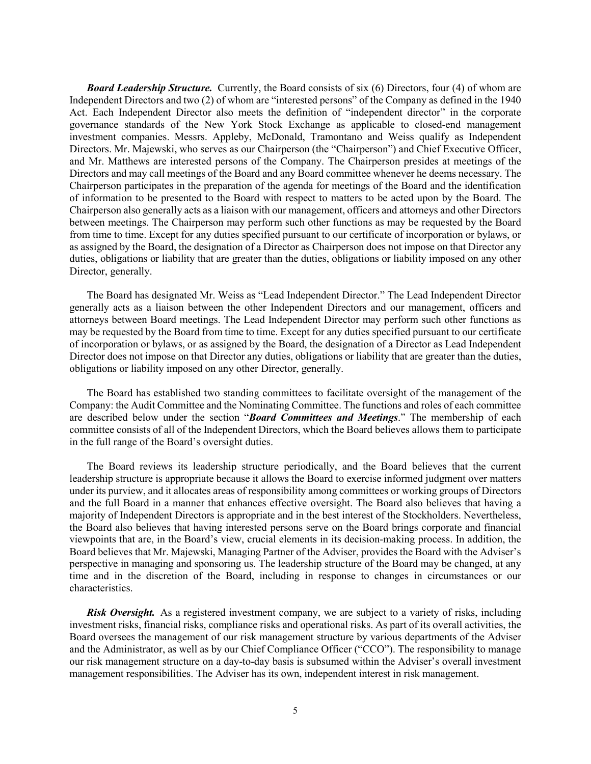*Board Leadership Structure.* Currently, the Board consists of six (6) Directors, four (4) of whom are Independent Directors and two (2) of whom are "interested persons" of the Company as defined in the 1940 Act. Each Independent Director also meets the definition of "independent director" in the corporate governance standards of the New York Stock Exchange as applicable to closed-end management investment companies. Messrs. Appleby, McDonald, Tramontano and Weiss qualify as Independent Directors. Mr. Majewski, who serves as our Chairperson (the "Chairperson") and Chief Executive Officer, and Mr. Matthews are interested persons of the Company. The Chairperson presides at meetings of the Directors and may call meetings of the Board and any Board committee whenever he deems necessary. The Chairperson participates in the preparation of the agenda for meetings of the Board and the identification of information to be presented to the Board with respect to matters to be acted upon by the Board. The Chairperson also generally acts as a liaison with our management, officers and attorneys and other Directors between meetings. The Chairperson may perform such other functions as may be requested by the Board from time to time. Except for any duties specified pursuant to our certificate of incorporation or bylaws, or as assigned by the Board, the designation of a Director as Chairperson does not impose on that Director any duties, obligations or liability that are greater than the duties, obligations or liability imposed on any other Director, generally.

The Board has designated Mr. Weiss as "Lead Independent Director." The Lead Independent Director generally acts as a liaison between the other Independent Directors and our management, officers and attorneys between Board meetings. The Lead Independent Director may perform such other functions as may be requested by the Board from time to time. Except for any duties specified pursuant to our certificate of incorporation or bylaws, or as assigned by the Board, the designation of a Director as Lead Independent Director does not impose on that Director any duties, obligations or liability that are greater than the duties, obligations or liability imposed on any other Director, generally.

The Board has established two standing committees to facilitate oversight of the management of the Company: the Audit Committee and the Nominating Committee. The functions and roles of each committee are described below under the section "*Board Committees and Meetings*." The membership of each committee consists of all of the Independent Directors, which the Board believes allows them to participate in the full range of the Board's oversight duties.

The Board reviews its leadership structure periodically, and the Board believes that the current leadership structure is appropriate because it allows the Board to exercise informed judgment over matters under its purview, and it allocates areas of responsibility among committees or working groups of Directors and the full Board in a manner that enhances effective oversight. The Board also believes that having a majority of Independent Directors is appropriate and in the best interest of the Stockholders. Nevertheless, the Board also believes that having interested persons serve on the Board brings corporate and financial viewpoints that are, in the Board's view, crucial elements in its decision-making process. In addition, the Board believes that Mr. Majewski, Managing Partner of the Adviser, provides the Board with the Adviser's perspective in managing and sponsoring us. The leadership structure of the Board may be changed, at any time and in the discretion of the Board, including in response to changes in circumstances or our characteristics.

**Risk Oversight.** As a registered investment company, we are subject to a variety of risks, including investment risks, financial risks, compliance risks and operational risks. As part of its overall activities, the Board oversees the management of our risk management structure by various departments of the Adviser and the Administrator, as well as by our Chief Compliance Officer ("CCO"). The responsibility to manage our risk management structure on a day-to-day basis is subsumed within the Adviser's overall investment management responsibilities. The Adviser has its own, independent interest in risk management.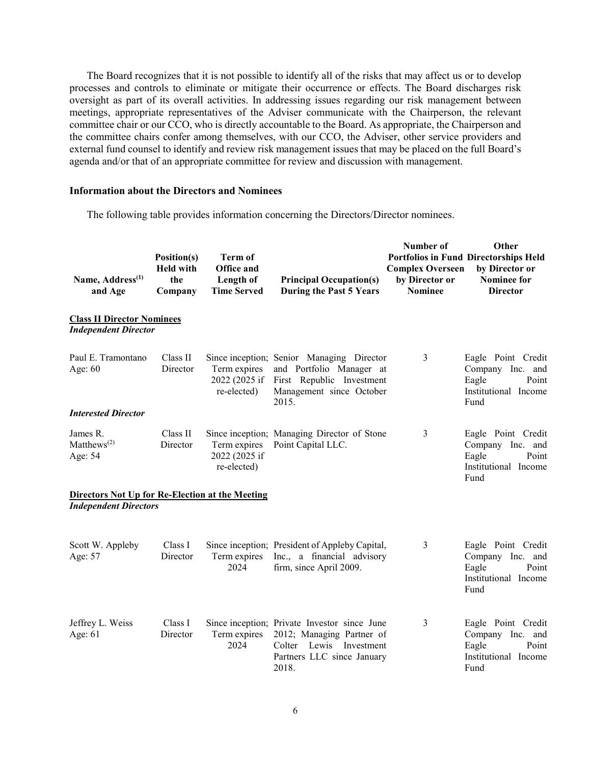The Board recognizes that it is not possible to identify all of the risks that may affect us or to develop processes and controls to eliminate or mitigate their occurrence or effects. The Board discharges risk oversight as part of its overall activities. In addressing issues regarding our risk management between meetings, appropriate representatives of the Adviser communicate with the Chairperson, the relevant committee chair or our CCO, who is directly accountable to the Board. As appropriate, the Chairperson and the committee chairs confer among themselves, with our CCO, the Adviser, other service providers and external fund counsel to identify and review risk management issues that may be placed on the full Board's agenda and/or that of an appropriate committee for review and discussion with management.

#### **Information about the Directors and Nominees**

The following table provides information concerning the Directors/Director nominees.

| Name, Address <sup>(1)</sup><br>and Age                                                | Position(s)<br><b>Held with</b><br>the<br>Company | <b>Term of</b><br>Office and<br>Length of<br><b>Time Served</b> | <b>Principal Occupation(s)</b><br>During the Past 5 Years                                                                                      | Number of<br><b>Complex Overseen</b><br>by Director or<br><b>Nominee</b> | Other<br><b>Portfolios in Fund Directorships Held</b><br>by Director or<br><b>Nominee for</b><br><b>Director</b> |
|----------------------------------------------------------------------------------------|---------------------------------------------------|-----------------------------------------------------------------|------------------------------------------------------------------------------------------------------------------------------------------------|--------------------------------------------------------------------------|------------------------------------------------------------------------------------------------------------------|
| <b>Class II Director Nominees</b><br><b>Independent Director</b>                       |                                                   |                                                                 |                                                                                                                                                |                                                                          |                                                                                                                  |
| Paul E. Tramontano<br>Age: $60$                                                        | Class II<br>Director                              | Term expires<br>2022 (2025 if<br>re-elected)                    | Since inception; Senior Managing Director<br>and Portfolio Manager at<br>First Republic Investment<br>Management since October<br>2015.        | 3                                                                        | Eagle Point Credit<br>Company Inc.<br>and<br>Eagle<br>Point<br>Institutional Income<br>Fund                      |
| <b>Interested Director</b>                                                             |                                                   |                                                                 |                                                                                                                                                |                                                                          |                                                                                                                  |
| James R.<br>Matthews <sup><math>(2)</math></sup><br>Age: 54                            | Class II<br>Director                              | Term expires<br>2022 (2025 if<br>re-elected)                    | Since inception; Managing Director of Stone<br>Point Capital LLC.                                                                              | 3                                                                        | Eagle Point Credit<br>Company Inc. and<br>Eagle<br>Point<br>Institutional Income<br>Fund                         |
| <b>Directors Not Up for Re-Election at the Meeting</b><br><b>Independent Directors</b> |                                                   |                                                                 |                                                                                                                                                |                                                                          |                                                                                                                  |
|                                                                                        |                                                   |                                                                 |                                                                                                                                                |                                                                          |                                                                                                                  |
| Scott W. Appleby<br>Age: 57                                                            | Class I<br>Director                               | Term expires<br>2024                                            | Since inception; President of Appleby Capital,<br>Inc., a financial advisory<br>firm, since April 2009.                                        | 3                                                                        | Eagle Point Credit<br>Company Inc. and<br>Eagle<br>Point<br>Institutional Income<br>Fund                         |
| Jeffrey L. Weiss<br>Age: $61$                                                          | Class I<br>Director                               | Term expires<br>2024                                            | Since inception; Private Investor since June<br>2012; Managing Partner of<br>Colter Lewis<br>Investment<br>Partners LLC since January<br>2018. | 3                                                                        | Eagle Point Credit<br>Company Inc.<br>and<br>Point<br>Eagle<br>Institutional Income<br>Fund                      |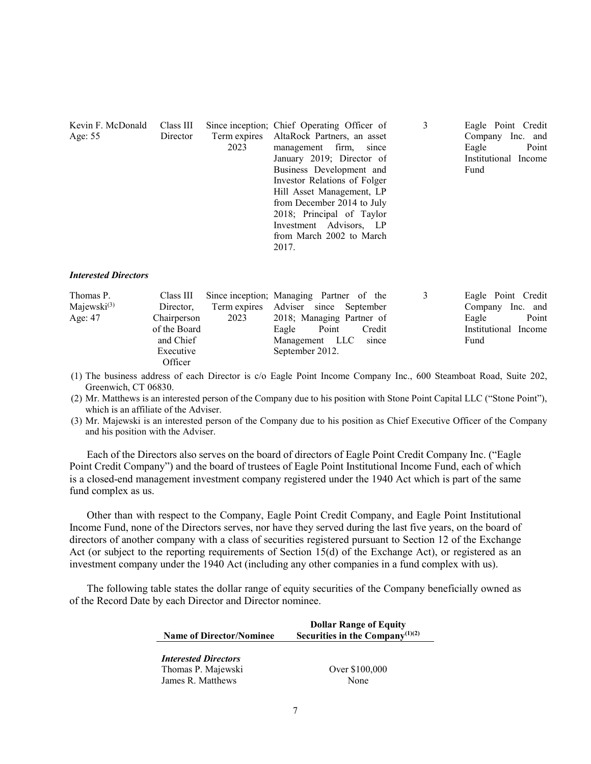| Kevin F. McDonald | Class III |      | Since inception; Chief Operating Officer of | Eagle Point Credit   |
|-------------------|-----------|------|---------------------------------------------|----------------------|
| Age: $55$         | Director  |      | Term expires AltaRock Partners, an asset    | Company Inc. and     |
|                   |           | 2023 | management firm, since                      | Point<br>Eagle       |
|                   |           |      | January 2019; Director of                   | Institutional Income |
|                   |           |      | Business Development and                    | Fund                 |
|                   |           |      | Investor Relations of Folger                |                      |
|                   |           |      | Hill Asset Management, LP                   |                      |
|                   |           |      | from December 2014 to July                  |                      |
|                   |           |      | 2018; Principal of Taylor                   |                      |
|                   |           |      | Investment Advisors, LP                     |                      |
|                   |           |      | from March 2002 to March                    |                      |
|                   |           |      | 2017.                                       |                      |

#### *Interested Directors*

| Thomas P.         |              |      | Class III Since inception; Managing Partner of the | Eagle Point Credit   |
|-------------------|--------------|------|----------------------------------------------------|----------------------|
| Majewski $^{(3)}$ | Director,    |      | Term expires Adviser since September               | Company Inc. and     |
| Age: $47$         | Chairperson  | 2023 | 2018; Managing Partner of                          | Point<br>Eagle       |
|                   | of the Board |      | Point<br>Eagle<br>Credit                           | Institutional Income |
|                   | and Chief    |      | Management LLC<br>since                            | Fund                 |
|                   | Executive    |      | September 2012.                                    |                      |
|                   | Officer      |      |                                                    |                      |

(1) The business address of each Director is c/o Eagle Point Income Company Inc., 600 Steamboat Road, Suite 202, Greenwich, CT 06830.

(2) Mr. Matthews is an interested person of the Company due to his position with Stone Point Capital LLC ("Stone Point"), which is an affiliate of the Adviser.

(3) Mr. Majewski is an interested person of the Company due to his position as Chief Executive Officer of the Company and his position with the Adviser.

Each of the Directors also serves on the board of directors of Eagle Point Credit Company Inc. ("Eagle Point Credit Company") and the board of trustees of Eagle Point Institutional Income Fund, each of which is a closed-end management investment company registered under the 1940 Act which is part of the same fund complex as us.

Other than with respect to the Company, Eagle Point Credit Company, and Eagle Point Institutional Income Fund, none of the Directors serves, nor have they served during the last five years, on the board of directors of another company with a class of securities registered pursuant to Section 12 of the Exchange Act (or subject to the reporting requirements of Section 15(d) of the Exchange Act), or registered as an investment company under the 1940 Act (including any other companies in a fund complex with us).

The following table states the dollar range of equity securities of the Company beneficially owned as of the Record Date by each Director and Director nominee.

| <b>Name of Director/Nominee</b>                   | <b>Dollar Range of Equity</b><br>Securities in the Company <sup>(1)(2)</sup> |
|---------------------------------------------------|------------------------------------------------------------------------------|
| <b>Interested Directors</b><br>Thomas P. Majewski | Over \$100,000                                                               |

James R. Matthews None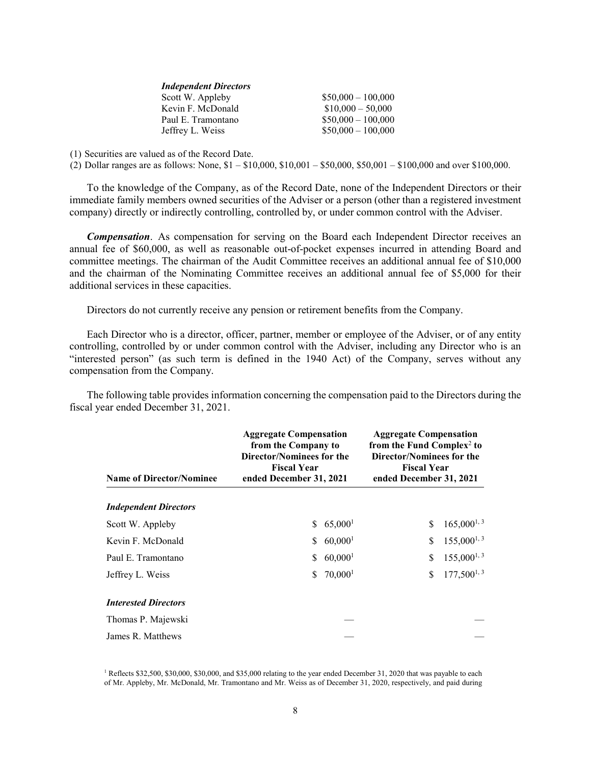| $$50,000 - 100,000$ |
|---------------------|
| $$10,000 - 50,000$  |
| $$50,000 - 100,000$ |
| $$50,000 - 100,000$ |
|                     |

(1) Securities are valued as of the Record Date.

(2) Dollar ranges are as follows: None, \$1 – \$10,000, \$10,001 – \$50,000, \$50,001 – \$100,000 and over \$100,000.

To the knowledge of the Company, as of the Record Date, none of the Independent Directors or their immediate family members owned securities of the Adviser or a person (other than a registered investment company) directly or indirectly controlling, controlled by, or under common control with the Adviser.

*Compensation*. As compensation for serving on the Board each Independent Director receives an annual fee of \$60,000, as well as reasonable out-of-pocket expenses incurred in attending Board and committee meetings. The chairman of the Audit Committee receives an additional annual fee of \$10,000 and the chairman of the Nominating Committee receives an additional annual fee of \$5,000 for their additional services in these capacities.

Directors do not currently receive any pension or retirement benefits from the Company.

Each Director who is a director, officer, partner, member or employee of the Adviser, or of any entity controlling, controlled by or under common control with the Adviser, including any Director who is an "interested person" (as such term is defined in the 1940 Act) of the Company, serves without any compensation from the Company.

The following table provides information concerning the compensation paid to the Directors during the fiscal year ended December 31, 2021.

| <b>Name of Director/Nominee</b> | <b>Aggregate Compensation</b><br>from the Company to<br>Director/Nominees for the<br><b>Fiscal Year</b><br>ended December 31, 2021 |                       | <b>Aggregate Compensation</b><br>from the Fund Complex <sup>2</sup> to<br>Director/Nominees for the<br><b>Fiscal Year</b><br>ended December 31, 2021 |                 |  |
|---------------------------------|------------------------------------------------------------------------------------------------------------------------------------|-----------------------|------------------------------------------------------------------------------------------------------------------------------------------------------|-----------------|--|
| <b>Independent Directors</b>    |                                                                                                                                    |                       |                                                                                                                                                      |                 |  |
| Scott W. Appleby                | S.                                                                                                                                 | 65,000 <sup>1</sup>   | \$                                                                                                                                                   | $165,000^{1,3}$ |  |
| Kevin F. McDonald               | S.                                                                                                                                 | $60,000$ <sup>1</sup> | \$                                                                                                                                                   | $155,000^{1,3}$ |  |
| Paul E. Tramontano              | S.                                                                                                                                 | $60,000$ <sup>1</sup> | \$                                                                                                                                                   | $155,000^{1,3}$ |  |
| Jeffrey L. Weiss                | S.                                                                                                                                 | $70,000$ <sup>1</sup> | \$                                                                                                                                                   | $177,500^{1,3}$ |  |
| <b>Interested Directors</b>     |                                                                                                                                    |                       |                                                                                                                                                      |                 |  |
| Thomas P. Majewski              |                                                                                                                                    |                       |                                                                                                                                                      |                 |  |
| James R. Matthews               |                                                                                                                                    |                       |                                                                                                                                                      |                 |  |

<sup>1</sup> Reflects \$32,500, \$30,000, \$30,000, and \$35,000 relating to the year ended December 31, 2020 that was payable to each of Mr. Appleby, Mr. McDonald, Mr. Tramontano and Mr. Weiss as of December 31, 2020, respectively, and paid during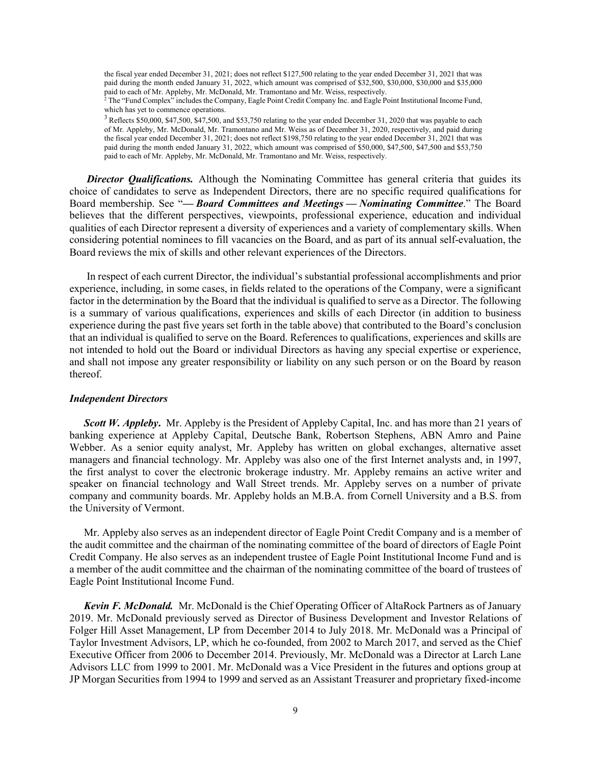the fiscal year ended December 31, 2021; does not reflect \$127,500 relating to the year ended December 31, 2021 that was paid during the month ended January 31, 2022, which amount was comprised of \$32,500, \$30,000, \$30,000 and \$35,000 paid to each of Mr. Appleby, Mr. McDonald, Mr. Tramontano and Mr. Weiss, respectively.

<sup>2</sup> The "Fund Complex" includes the Company, Eagle Point Credit Company Inc. and Eagle Point Institutional Income Fund, which has yet to commence operations.

<sup>3</sup> Reflects \$50,000, \$47,500, \$47,500, and \$53,750 relating to the year ended December 31, 2020 that was payable to each of Mr. Appleby, Mr. McDonald, Mr. Tramontano and Mr. Weiss as of December 31, 2020, respectively, and paid during the fiscal year ended December 31, 2021; does not reflect \$198,750 relating to the year ended December 31, 2021 that was paid during the month ended January 31, 2022, which amount was comprised of \$50,000, \$47,500, \$47,500 and \$53,750 paid to each of Mr. Appleby, Mr. McDonald, Mr. Tramontano and Mr. Weiss, respectively.

**Director Qualifications.** Although the Nominating Committee has general criteria that guides its choice of candidates to serve as Independent Directors, there are no specific required qualifications for Board membership. See "*— Board Committees and Meetings — Nominating Committee*." The Board believes that the different perspectives, viewpoints, professional experience, education and individual qualities of each Director represent a diversity of experiences and a variety of complementary skills. When considering potential nominees to fill vacancies on the Board, and as part of its annual self-evaluation, the Board reviews the mix of skills and other relevant experiences of the Directors.

In respect of each current Director, the individual's substantial professional accomplishments and prior experience, including, in some cases, in fields related to the operations of the Company, were a significant factor in the determination by the Board that the individual is qualified to serve as a Director. The following is a summary of various qualifications, experiences and skills of each Director (in addition to business experience during the past five years set forth in the table above) that contributed to the Board's conclusion that an individual is qualified to serve on the Board. References to qualifications, experiences and skills are not intended to hold out the Board or individual Directors as having any special expertise or experience, and shall not impose any greater responsibility or liability on any such person or on the Board by reason thereof.

#### *Independent Directors*

*Scott W. Appleby***.** Mr. Appleby is the President of Appleby Capital, Inc. and has more than 21 years of banking experience at Appleby Capital, Deutsche Bank, Robertson Stephens, ABN Amro and Paine Webber. As a senior equity analyst, Mr. Appleby has written on global exchanges, alternative asset managers and financial technology. Mr. Appleby was also one of the first Internet analysts and, in 1997, the first analyst to cover the electronic brokerage industry. Mr. Appleby remains an active writer and speaker on financial technology and Wall Street trends. Mr. Appleby serves on a number of private company and community boards. Mr. Appleby holds an M.B.A. from Cornell University and a B.S. from the University of Vermont.

Mr. Appleby also serves as an independent director of Eagle Point Credit Company and is a member of the audit committee and the chairman of the nominating committee of the board of directors of Eagle Point Credit Company. He also serves as an independent trustee of Eagle Point Institutional Income Fund and is a member of the audit committee and the chairman of the nominating committee of the board of trustees of Eagle Point Institutional Income Fund.

*Kevin F. McDonald.*Mr. McDonald is the Chief Operating Officer of AltaRock Partners as of January 2019. Mr. McDonald previously served as Director of Business Development and Investor Relations of Folger Hill Asset Management, LP from December 2014 to July 2018. Mr. McDonald was a Principal of Taylor Investment Advisors, LP, which he co-founded, from 2002 to March 2017, and served as the Chief Executive Officer from 2006 to December 2014. Previously, Mr. McDonald was a Director at Larch Lane Advisors LLC from 1999 to 2001. Mr. McDonald was a Vice President in the futures and options group at JP Morgan Securities from 1994 to 1999 and served as an Assistant Treasurer and proprietary fixed-income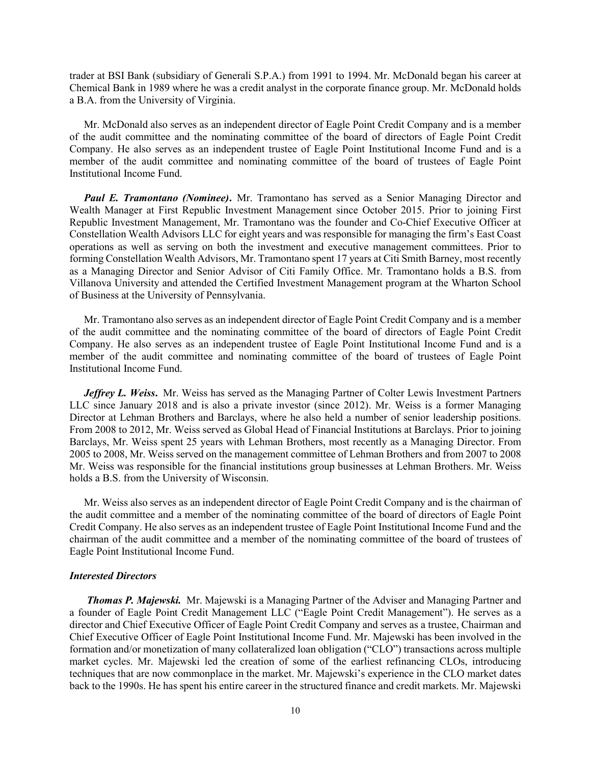trader at BSI Bank (subsidiary of Generali S.P.A.) from 1991 to 1994. Mr. McDonald began his career at Chemical Bank in 1989 where he was a credit analyst in the corporate finance group. Mr. McDonald holds a B.A. from the University of Virginia.

Mr. McDonald also serves as an independent director of Eagle Point Credit Company and is a member of the audit committee and the nominating committee of the board of directors of Eagle Point Credit Company. He also serves as an independent trustee of Eagle Point Institutional Income Fund and is a member of the audit committee and nominating committee of the board of trustees of Eagle Point Institutional Income Fund.

*Paul E. Tramontano (Nominee)***.** Mr. Tramontano has served as a Senior Managing Director and Wealth Manager at First Republic Investment Management since October 2015. Prior to joining First Republic Investment Management, Mr. Tramontano was the founder and Co-Chief Executive Officer at Constellation Wealth Advisors LLC for eight years and was responsible for managing the firm's East Coast operations as well as serving on both the investment and executive management committees. Prior to forming Constellation Wealth Advisors, Mr. Tramontano spent 17 years at Citi Smith Barney, most recently as a Managing Director and Senior Advisor of Citi Family Office. Mr. Tramontano holds a B.S. from Villanova University and attended the Certified Investment Management program at the Wharton School of Business at the University of Pennsylvania.

Mr. Tramontano also serves as an independent director of Eagle Point Credit Company and is a member of the audit committee and the nominating committee of the board of directors of Eagle Point Credit Company. He also serves as an independent trustee of Eagle Point Institutional Income Fund and is a member of the audit committee and nominating committee of the board of trustees of Eagle Point Institutional Income Fund.

*Jeffrey L. Weiss***.** Mr. Weiss has served as the Managing Partner of Colter Lewis Investment Partners LLC since January 2018 and is also a private investor (since 2012). Mr. Weiss is a former Managing Director at Lehman Brothers and Barclays, where he also held a number of senior leadership positions. From 2008 to 2012, Mr. Weiss served as Global Head of Financial Institutions at Barclays. Prior to joining Barclays, Mr. Weiss spent 25 years with Lehman Brothers, most recently as a Managing Director. From 2005 to 2008, Mr. Weiss served on the management committee of Lehman Brothers and from 2007 to 2008 Mr. Weiss was responsible for the financial institutions group businesses at Lehman Brothers. Mr. Weiss holds a B.S. from the University of Wisconsin.

Mr. Weiss also serves as an independent director of Eagle Point Credit Company and is the chairman of the audit committee and a member of the nominating committee of the board of directors of Eagle Point Credit Company. He also serves as an independent trustee of Eagle Point Institutional Income Fund and the chairman of the audit committee and a member of the nominating committee of the board of trustees of Eagle Point Institutional Income Fund.

#### *Interested Directors*

*Thomas P. Majewski.* Mr. Majewski is a Managing Partner of the Adviser and Managing Partner and a founder of Eagle Point Credit Management LLC ("Eagle Point Credit Management"). He serves as a director and Chief Executive Officer of Eagle Point Credit Company and serves as a trustee, Chairman and Chief Executive Officer of Eagle Point Institutional Income Fund. Mr. Majewski has been involved in the formation and/or monetization of many collateralized loan obligation ("CLO") transactions across multiple market cycles. Mr. Majewski led the creation of some of the earliest refinancing CLOs, introducing techniques that are now commonplace in the market. Mr. Majewski's experience in the CLO market dates back to the 1990s. He has spent his entire career in the structured finance and credit markets. Mr. Majewski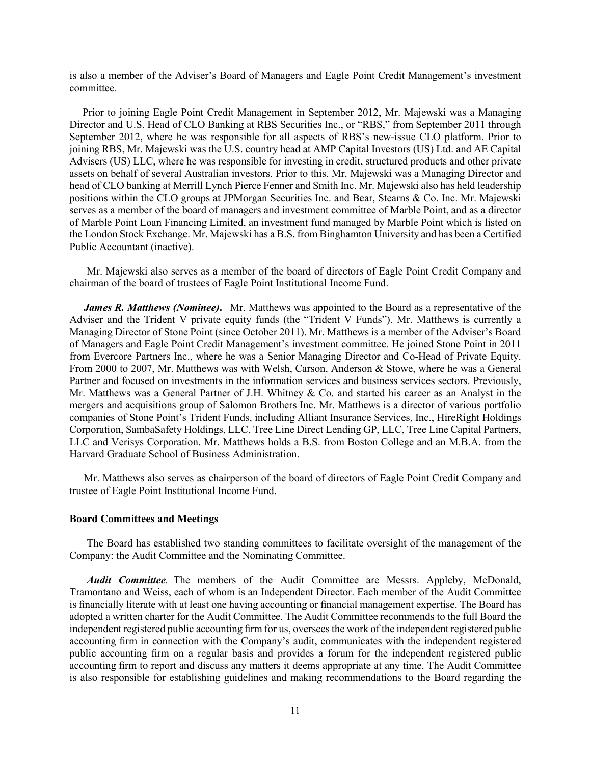is also a member of the Adviser's Board of Managers and Eagle Point Credit Management's investment committee.

Prior to joining Eagle Point Credit Management in September 2012, Mr. Majewski was a Managing Director and U.S. Head of CLO Banking at RBS Securities Inc., or "RBS," from September 2011 through September 2012, where he was responsible for all aspects of RBS's new-issue CLO platform. Prior to joining RBS, Mr. Majewski was the U.S. country head at AMP Capital Investors (US) Ltd. and AE Capital Advisers (US) LLC, where he was responsible for investing in credit, structured products and other private assets on behalf of several Australian investors. Prior to this, Mr. Majewski was a Managing Director and head of CLO banking at Merrill Lynch Pierce Fenner and Smith Inc. Mr. Majewski also has held leadership positions within the CLO groups at JPMorgan Securities Inc. and Bear, Stearns & Co. Inc. Mr. Majewski serves as a member of the board of managers and investment committee of Marble Point, and as a director of Marble Point Loan Financing Limited, an investment fund managed by Marble Point which is listed on the London Stock Exchange. Mr. Majewski has a B.S. from Binghamton University and has been a Certified Public Accountant (inactive).

Mr. Majewski also serves as a member of the board of directors of Eagle Point Credit Company and chairman of the board of trustees of Eagle Point Institutional Income Fund.

*James R. Matthews (Nominee)***.** Mr. Matthews was appointed to the Board as a representative of the Adviser and the Trident V private equity funds (the "Trident V Funds"). Mr. Matthews is currently a Managing Director of Stone Point (since October 2011). Mr. Matthews is a member of the Adviser's Board of Managers and Eagle Point Credit Management's investment committee. He joined Stone Point in 2011 from Evercore Partners Inc., where he was a Senior Managing Director and Co-Head of Private Equity. From 2000 to 2007, Mr. Matthews was with Welsh, Carson, Anderson & Stowe, where he was a General Partner and focused on investments in the information services and business services sectors. Previously, Mr. Matthews was a General Partner of J.H. Whitney & Co. and started his career as an Analyst in the mergers and acquisitions group of Salomon Brothers Inc. Mr. Matthews is a director of various portfolio companies of Stone Point's Trident Funds, including Alliant Insurance Services, Inc., HireRight Holdings Corporation, SambaSafety Holdings, LLC, Tree Line Direct Lending GP, LLC, Tree Line Capital Partners, LLC and Verisys Corporation. Mr. Matthews holds a B.S. from Boston College and an M.B.A. from the Harvard Graduate School of Business Administration.

Mr. Matthews also serves as chairperson of the board of directors of Eagle Point Credit Company and trustee of Eagle Point Institutional Income Fund.

#### **Board Committees and Meetings**

The Board has established two standing committees to facilitate oversight of the management of the Company: the Audit Committee and the Nominating Committee.

*Audit Committee.* The members of the Audit Committee are Messrs. Appleby, McDonald, Tramontano and Weiss, each of whom is an Independent Director. Each member of the Audit Committee is financially literate with at least one having accounting or financial management expertise. The Board has adopted a written charter for the Audit Committee. The Audit Committee recommends to the full Board the independent registered public accounting firm for us, oversees the work of the independent registered public accounting firm in connection with the Company's audit, communicates with the independent registered public accounting firm on a regular basis and provides a forum for the independent registered public accounting firm to report and discuss any matters it deems appropriate at any time. The Audit Committee is also responsible for establishing guidelines and making recommendations to the Board regarding the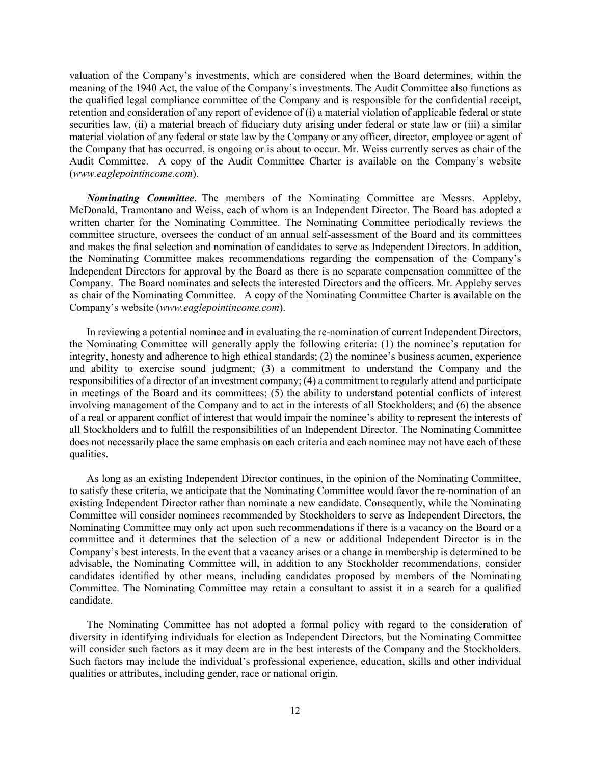valuation of the Company's investments, which are considered when the Board determines, within the meaning of the 1940 Act, the value of the Company's investments. The Audit Committee also functions as the qualified legal compliance committee of the Company and is responsible for the confidential receipt, retention and consideration of any report of evidence of (i) a material violation of applicable federal or state securities law, (ii) a material breach of fiduciary duty arising under federal or state law or (iii) a similar material violation of any federal or state law by the Company or any officer, director, employee or agent of the Company that has occurred, is ongoing or is about to occur. Mr. Weiss currently serves as chair of the Audit Committee. A copy of the Audit Committee Charter is available on the Company's website (*www.eaglepointincome.com*).

*Nominating Committee*. The members of the Nominating Committee are Messrs. Appleby, McDonald, Tramontano and Weiss, each of whom is an Independent Director. The Board has adopted a written charter for the Nominating Committee. The Nominating Committee periodically reviews the committee structure, oversees the conduct of an annual self-assessment of the Board and its committees and makes the final selection and nomination of candidates to serve as Independent Directors. In addition, the Nominating Committee makes recommendations regarding the compensation of the Company's Independent Directors for approval by the Board as there is no separate compensation committee of the Company. The Board nominates and selects the interested Directors and the officers. Mr. Appleby serves as chair of the Nominating Committee. A copy of the Nominating Committee Charter is available on the Company's website (*www.eaglepointincome.com*).

In reviewing a potential nominee and in evaluating the re-nomination of current Independent Directors, the Nominating Committee will generally apply the following criteria: (1) the nominee's reputation for integrity, honesty and adherence to high ethical standards; (2) the nominee's business acumen, experience and ability to exercise sound judgment; (3) a commitment to understand the Company and the responsibilities of a director of an investment company; (4) a commitment to regularly attend and participate in meetings of the Board and its committees; (5) the ability to understand potential conflicts of interest involving management of the Company and to act in the interests of all Stockholders; and (6) the absence of a real or apparent conflict of interest that would impair the nominee's ability to represent the interests of all Stockholders and to fulfill the responsibilities of an Independent Director. The Nominating Committee does not necessarily place the same emphasis on each criteria and each nominee may not have each of these qualities.

As long as an existing Independent Director continues, in the opinion of the Nominating Committee, to satisfy these criteria, we anticipate that the Nominating Committee would favor the re-nomination of an existing Independent Director rather than nominate a new candidate. Consequently, while the Nominating Committee will consider nominees recommended by Stockholders to serve as Independent Directors, the Nominating Committee may only act upon such recommendations if there is a vacancy on the Board or a committee and it determines that the selection of a new or additional Independent Director is in the Company's best interests. In the event that a vacancy arises or a change in membership is determined to be advisable, the Nominating Committee will, in addition to any Stockholder recommendations, consider candidates identified by other means, including candidates proposed by members of the Nominating Committee. The Nominating Committee may retain a consultant to assist it in a search for a qualified candidate.

The Nominating Committee has not adopted a formal policy with regard to the consideration of diversity in identifying individuals for election as Independent Directors, but the Nominating Committee will consider such factors as it may deem are in the best interests of the Company and the Stockholders. Such factors may include the individual's professional experience, education, skills and other individual qualities or attributes, including gender, race or national origin.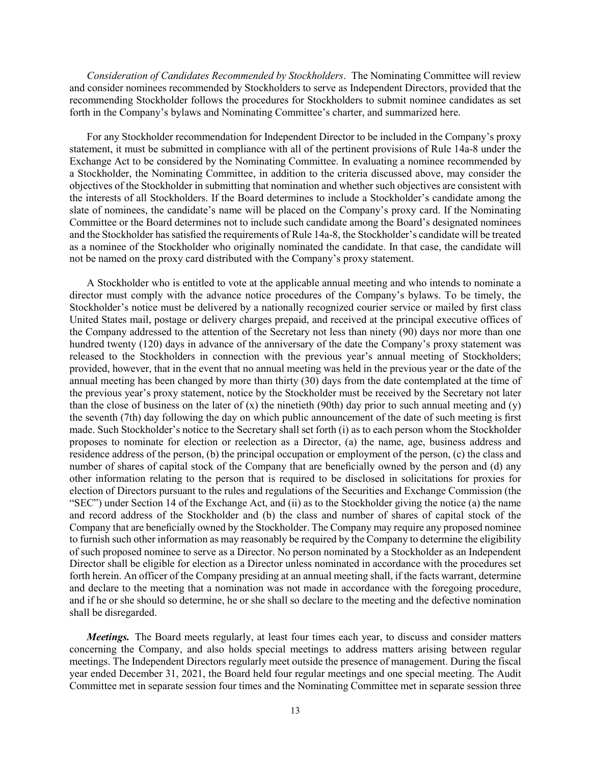*Consideration of Candidates Recommended by Stockholders*. The Nominating Committee will review and consider nominees recommended by Stockholders to serve as Independent Directors, provided that the recommending Stockholder follows the procedures for Stockholders to submit nominee candidates as set forth in the Company's bylaws and Nominating Committee's charter, and summarized here.

For any Stockholder recommendation for Independent Director to be included in the Company's proxy statement, it must be submitted in compliance with all of the pertinent provisions of Rule 14a-8 under the Exchange Act to be considered by the Nominating Committee. In evaluating a nominee recommended by a Stockholder, the Nominating Committee, in addition to the criteria discussed above, may consider the objectives of the Stockholder in submitting that nomination and whether such objectives are consistent with the interests of all Stockholders. If the Board determines to include a Stockholder's candidate among the slate of nominees, the candidate's name will be placed on the Company's proxy card. If the Nominating Committee or the Board determines not to include such candidate among the Board's designated nominees and the Stockholder has satisfied the requirements of Rule 14a-8, the Stockholder's candidate will be treated as a nominee of the Stockholder who originally nominated the candidate. In that case, the candidate will not be named on the proxy card distributed with the Company's proxy statement.

A Stockholder who is entitled to vote at the applicable annual meeting and who intends to nominate a director must comply with the advance notice procedures of the Company's bylaws. To be timely, the Stockholder's notice must be delivered by a nationally recognized courier service or mailed by first class United States mail, postage or delivery charges prepaid, and received at the principal executive offices of the Company addressed to the attention of the Secretary not less than ninety (90) days nor more than one hundred twenty (120) days in advance of the anniversary of the date the Company's proxy statement was released to the Stockholders in connection with the previous year's annual meeting of Stockholders; provided, however, that in the event that no annual meeting was held in the previous year or the date of the annual meeting has been changed by more than thirty (30) days from the date contemplated at the time of the previous year's proxy statement, notice by the Stockholder must be received by the Secretary not later than the close of business on the later of  $(x)$  the ninetieth (90th) day prior to such annual meeting and  $(y)$ the seventh (7th) day following the day on which public announcement of the date of such meeting is first made. Such Stockholder's notice to the Secretary shall set forth (i) as to each person whom the Stockholder proposes to nominate for election or reelection as a Director, (a) the name, age, business address and residence address of the person, (b) the principal occupation or employment of the person, (c) the class and number of shares of capital stock of the Company that are beneficially owned by the person and (d) any other information relating to the person that is required to be disclosed in solicitations for proxies for election of Directors pursuant to the rules and regulations of the Securities and Exchange Commission (the "SEC") under Section 14 of the Exchange Act, and (ii) as to the Stockholder giving the notice (a) the name and record address of the Stockholder and (b) the class and number of shares of capital stock of the Company that are beneficially owned by the Stockholder. The Company may require any proposed nominee to furnish such other information as may reasonably be required by the Company to determine the eligibility of such proposed nominee to serve as a Director. No person nominated by a Stockholder as an Independent Director shall be eligible for election as a Director unless nominated in accordance with the procedures set forth herein. An officer of the Company presiding at an annual meeting shall, if the facts warrant, determine and declare to the meeting that a nomination was not made in accordance with the foregoing procedure, and if he or she should so determine, he or she shall so declare to the meeting and the defective nomination shall be disregarded.

*Meetings.* The Board meets regularly, at least four times each year, to discuss and consider matters concerning the Company, and also holds special meetings to address matters arising between regular meetings. The Independent Directors regularly meet outside the presence of management. During the fiscal year ended December 31, 2021, the Board held four regular meetings and one special meeting. The Audit Committee met in separate session four times and the Nominating Committee met in separate session three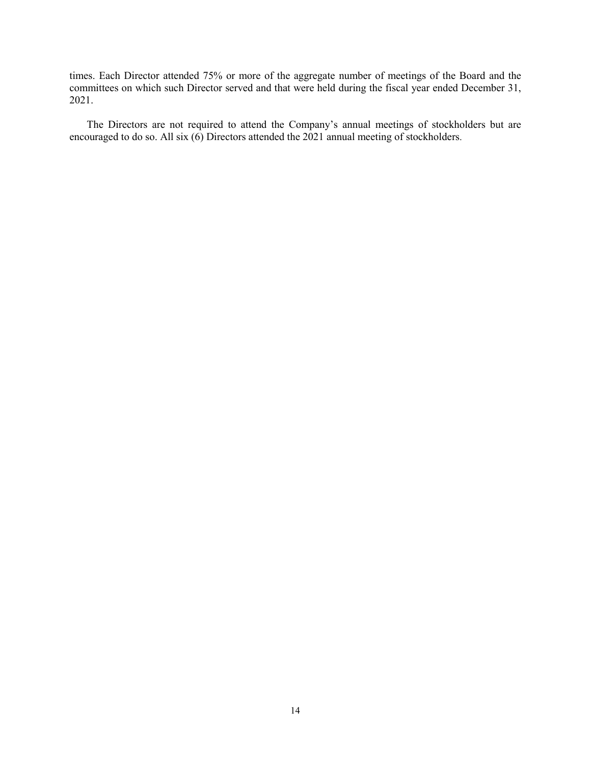times. Each Director attended 75% or more of the aggregate number of meetings of the Board and the committees on which such Director served and that were held during the fiscal year ended December 31, 2021.

The Directors are not required to attend the Company's annual meetings of stockholders but are encouraged to do so. All six (6) Directors attended the 2021 annual meeting of stockholders.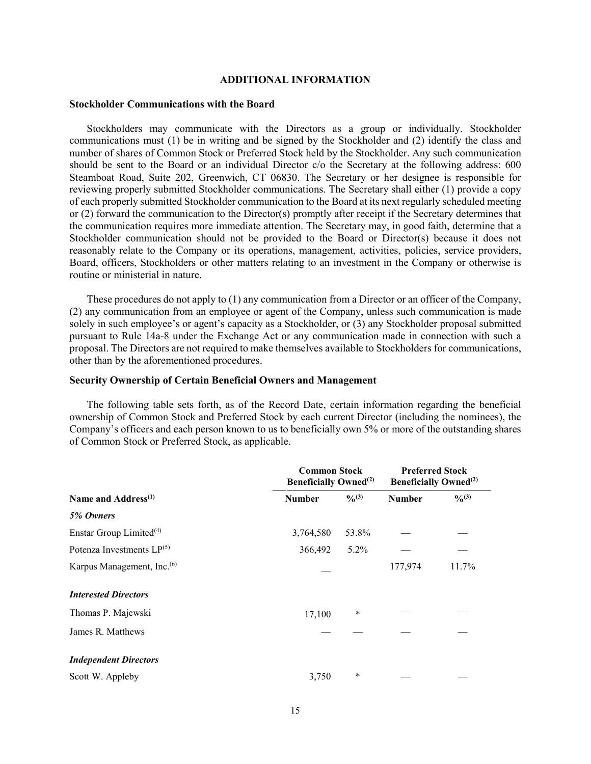#### **ADDITIONAL INFORMATION**

#### **Stockholder Communications with the Board**

Stockholders may communicate with the Directors as a group or individually. Stockholder communications must (1) be in writing and be signed by the Stockholder and (2) identify the class and number of shares of Common Stock or Preferred Stock held by the Stockholder. Any such communication should be sent to the Board or an individual Director c/o the Secretary at the following address: 600 Steamboat Road, Suite 202, Greenwich, CT 06830. The Secretary or her designee is responsible for reviewing properly submitted Stockholder communications. The Secretary shall either (1) provide a copy of each properly submitted Stockholder communication to the Board at its next regularly scheduled meeting or (2) forward the communication to the Director(s) promptly after receipt if the Secretary determines that the communication requires more immediate attention. The Secretary may, in good faith, determine that a Stockholder communication should not be provided to the Board or Director(s) because it does not reasonably relate to the Company or its operations, management, activities, policies, service providers, Board, officers, Stockholders or other matters relating to an investment in the Company or otherwise is routine or ministerial in nature.

These procedures do not apply to (1) any communication from a Director or an officer of the Company, (2) any communication from an employee or agent of the Company, unless such communication is made solely in such employee's or agent's capacity as a Stockholder, or (3) any Stockholder proposal submitted pursuant to Rule 14a-8 under the Exchange Act or any communication made in connection with such a proposal. The Directors are not required to make themselves available to Stockholders for communications, other than by the aforementioned procedures.

#### **Security Ownership of Certain Beneficial Owners and Management**

The following table sets forth, as of the Record Date, certain information regarding the beneficial ownership of Common Stock and Preferred Stock by each current Director (including the nominees), the Company's officers and each person known to us to beneficially own 5% or more of the outstanding shares of Common Stock or Preferred Stock, as applicable.

|                                        | <b>Common Stock</b><br><b>Beneficially Owned</b> <sup>(2)</sup> |                   | <b>Preferred Stock</b><br><b>Beneficially Owned</b> <sup>(2)</sup> |           |
|----------------------------------------|-----------------------------------------------------------------|-------------------|--------------------------------------------------------------------|-----------|
| Name and Address <sup>(1)</sup>        | <b>Number</b>                                                   | $\frac{0}{0}$ (3) | <b>Number</b>                                                      | $^{0}(3)$ |
| 5% Owners                              |                                                                 |                   |                                                                    |           |
| Enstar Group Limited <sup>(4)</sup>    | 3,764,580                                                       | 53.8%             |                                                                    |           |
| Potenza Investments $LP^{(5)}$         | 366,492                                                         | 5.2%              |                                                                    |           |
| Karpus Management, Inc. <sup>(6)</sup> |                                                                 |                   | 177,974                                                            | 11.7%     |
| <b>Interested Directors</b>            |                                                                 |                   |                                                                    |           |
| Thomas P. Majewski                     | 17,100                                                          | $\ast$            |                                                                    |           |
| James R. Matthews                      |                                                                 |                   |                                                                    |           |
| <b>Independent Directors</b>           |                                                                 |                   |                                                                    |           |
| Scott W. Appleby                       | 3,750                                                           | $\ast$            |                                                                    |           |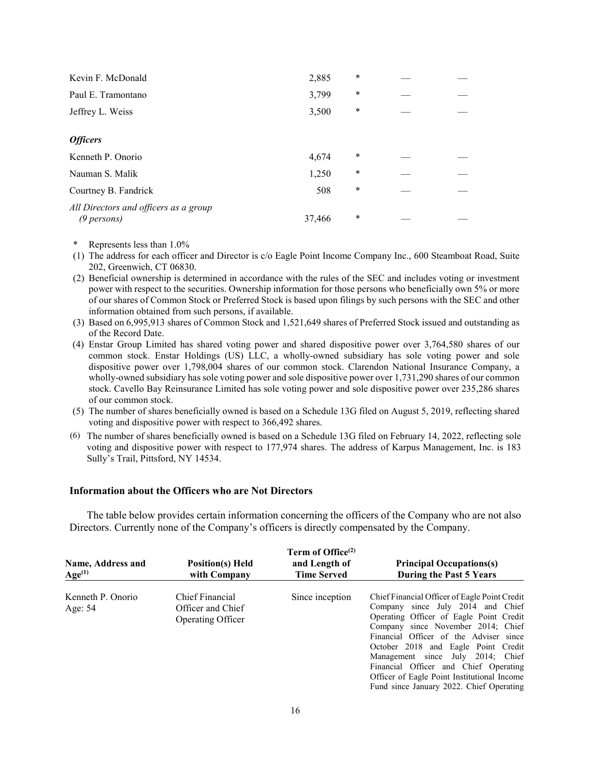| Kevin F. McDonald                                    | 2,885  | $\ast$ |  |
|------------------------------------------------------|--------|--------|--|
| Paul E. Tramontano                                   | 3,799  | $\ast$ |  |
| Jeffrey L. Weiss                                     | 3,500  | $\ast$ |  |
| <b>Officers</b>                                      |        |        |  |
| Kenneth P. Onorio                                    | 4,674  | $\ast$ |  |
| Nauman S. Malik                                      | 1,250  | $\ast$ |  |
| Courtney B. Fandrick                                 | 508    | $\ast$ |  |
| All Directors and officers as a group<br>(9 persons) | 37,466 | $\ast$ |  |

- \* Represents less than 1.0%
- (1) The address for each officer and Director is c/o Eagle Point Income Company Inc., 600 Steamboat Road, Suite 202, Greenwich, CT 06830.
- (2) Beneficial ownership is determined in accordance with the rules of the SEC and includes voting or investment power with respect to the securities. Ownership information for those persons who beneficially own 5% or more of our shares of Common Stock or Preferred Stock is based upon filings by such persons with the SEC and other information obtained from such persons, if available.
- (3) Based on 6,995,913 shares of Common Stock and 1,521,649 shares of Preferred Stock issued and outstanding as of the Record Date.
- (4) Enstar Group Limited has shared voting power and shared dispositive power over 3,764,580 shares of our common stock. Enstar Holdings (US) LLC, a wholly-owned subsidiary has sole voting power and sole dispositive power over 1,798,004 shares of our common stock. Clarendon National Insurance Company, a wholly-owned subsidiary has sole voting power and sole dispositive power over 1,731,290 shares of our common stock. Cavello Bay Reinsurance Limited has sole voting power and sole dispositive power over 235,286 shares of our common stock.
- (5) The number of shares beneficially owned is based on a Schedule 13G filed on August 5, 2019, reflecting shared voting and dispositive power with respect to 366,492 shares.
- (6) The number of shares beneficially owned is based on a Schedule 13G filed on February 14, 2022, reflecting sole voting and dispositive power with respect to 177,974 shares. The address of Karpus Management, Inc. is 183 Sully's Trail, Pittsford, NY 14534.

#### **Information about the Officers who are Not Directors**

The table below provides certain information concerning the officers of the Company who are not also Directors. Currently none of the Company's officers is directly compensated by the Company.

| Name, Address and<br>$Age^{(1)}$ | <b>Position(s)</b> Held<br>with Company                          | Term of Office <sup>(2)</sup><br>and Length of<br><b>Time Served</b> | <b>Principal Occupations(s)</b><br><b>During the Past 5 Years</b>                                                                                                                                                                                                                                                                                                                                                             |
|----------------------------------|------------------------------------------------------------------|----------------------------------------------------------------------|-------------------------------------------------------------------------------------------------------------------------------------------------------------------------------------------------------------------------------------------------------------------------------------------------------------------------------------------------------------------------------------------------------------------------------|
| Kenneth P. Onorio<br>Age: 54     | Chief Financial<br>Officer and Chief<br><b>Operating Officer</b> | Since inception                                                      | Chief Financial Officer of Eagle Point Credit<br>Company since July 2014 and Chief<br>Operating Officer of Eagle Point Credit<br>Company since November 2014; Chief<br>Financial Officer of the Adviser since<br>October 2018 and Eagle Point Credit<br>Management since July 2014; Chief<br>Financial Officer and Chief Operating<br>Officer of Eagle Point Institutional Income<br>Fund since January 2022. Chief Operating |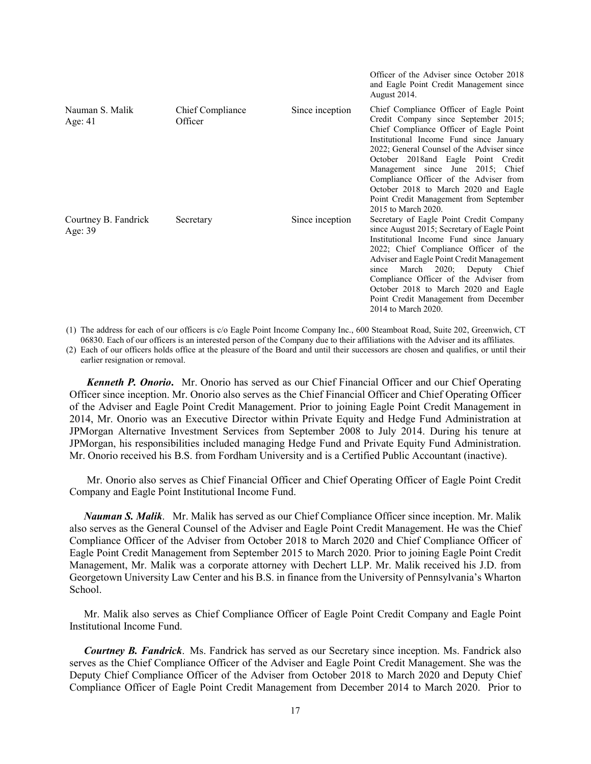|                                   |                             |                 | and Eagle Point Credit Management since<br>August 2014.                                                                                                                                                                                                                                                                                                                                                                                           |
|-----------------------------------|-----------------------------|-----------------|---------------------------------------------------------------------------------------------------------------------------------------------------------------------------------------------------------------------------------------------------------------------------------------------------------------------------------------------------------------------------------------------------------------------------------------------------|
| Nauman S. Malik<br>Age: $41$      | Chief Compliance<br>Officer | Since inception | Chief Compliance Officer of Eagle Point<br>Credit Company since September 2015;<br>Chief Compliance Officer of Eagle Point<br>Institutional Income Fund since January<br>2022; General Counsel of the Adviser since<br>October 2018and Eagle Point Credit<br>Management since June 2015; Chief<br>Compliance Officer of the Adviser from<br>October 2018 to March 2020 and Eagle<br>Point Credit Management from September<br>2015 to March 2020. |
| Courtney B. Fandrick<br>Age: $39$ | Secretary                   | Since inception | Secretary of Eagle Point Credit Company<br>since August 2015; Secretary of Eagle Point<br>Institutional Income Fund since January<br>2022; Chief Compliance Officer of the<br>Adviser and Eagle Point Credit Management<br>March 2020; Deputy Chief<br>since<br>Compliance Officer of the Adviser from<br>October 2018 to March 2020 and Eagle<br>Point Credit Management from December<br>2014 to March 2020.                                    |

Officer of the Adviser since October 2018

(1) The address for each of our officers is c/o Eagle Point Income Company Inc., 600 Steamboat Road, Suite 202, Greenwich, CT 06830. Each of our officers is an interested person of the Company due to their affiliations with the Adviser and its affiliates.

(2) Each of our officers holds office at the pleasure of the Board and until their successors are chosen and qualifies, or until their earlier resignation or removal.

*Kenneth P. Onorio***.** Mr. Onorio has served as our Chief Financial Officer and our Chief Operating Officer since inception. Mr. Onorio also serves as the Chief Financial Officer and Chief Operating Officer of the Adviser and Eagle Point Credit Management. Prior to joining Eagle Point Credit Management in 2014, Mr. Onorio was an Executive Director within Private Equity and Hedge Fund Administration at JPMorgan Alternative Investment Services from September 2008 to July 2014. During his tenure at JPMorgan, his responsibilities included managing Hedge Fund and Private Equity Fund Administration. Mr. Onorio received his B.S. from Fordham University and is a Certified Public Accountant (inactive).

Mr. Onorio also serves as Chief Financial Officer and Chief Operating Officer of Eagle Point Credit Company and Eagle Point Institutional Income Fund.

*Nauman S. Malik*. Mr. Malik has served as our Chief Compliance Officer since inception. Mr. Malik also serves as the General Counsel of the Adviser and Eagle Point Credit Management. He was the Chief Compliance Officer of the Adviser from October 2018 to March 2020 and Chief Compliance Officer of Eagle Point Credit Management from September 2015 to March 2020. Prior to joining Eagle Point Credit Management, Mr. Malik was a corporate attorney with Dechert LLP. Mr. Malik received his J.D. from Georgetown University Law Center and his B.S. in finance from the University of Pennsylvania's Wharton School.

Mr. Malik also serves as Chief Compliance Officer of Eagle Point Credit Company and Eagle Point Institutional Income Fund.

*Courtney B. Fandrick*. Ms. Fandrick has served as our Secretary since inception. Ms. Fandrick also serves as the Chief Compliance Officer of the Adviser and Eagle Point Credit Management. She was the Deputy Chief Compliance Officer of the Adviser from October 2018 to March 2020 and Deputy Chief Compliance Officer of Eagle Point Credit Management from December 2014 to March 2020. Prior to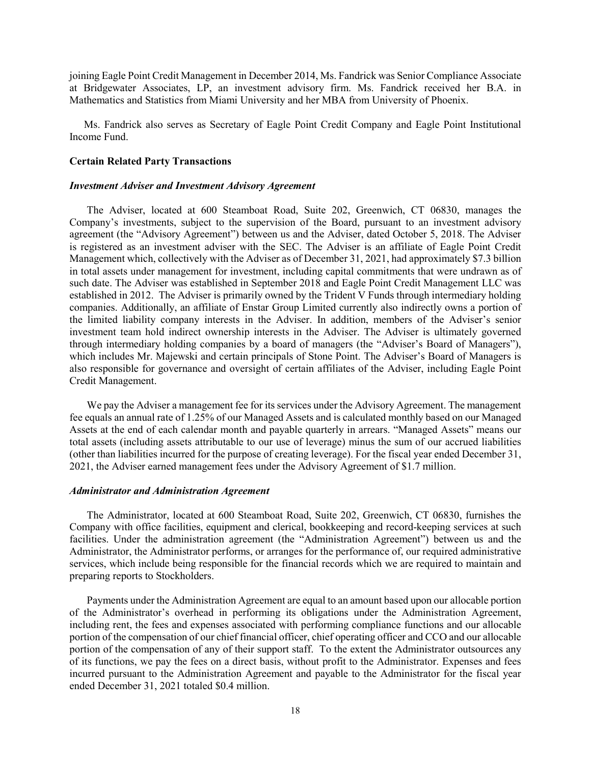joining Eagle Point Credit Management in December 2014, Ms. Fandrick was Senior Compliance Associate at Bridgewater Associates, LP, an investment advisory firm. Ms. Fandrick received her B.A. in Mathematics and Statistics from Miami University and her MBA from University of Phoenix.

Ms. Fandrick also serves as Secretary of Eagle Point Credit Company and Eagle Point Institutional Income Fund.

#### **Certain Related Party Transactions**

#### *Investment Adviser and Investment Advisory Agreement*

The Adviser, located at 600 Steamboat Road, Suite 202, Greenwich, CT 06830, manages the Company's investments, subject to the supervision of the Board, pursuant to an investment advisory agreement (the "Advisory Agreement") between us and the Adviser, dated October 5, 2018. The Adviser is registered as an investment adviser with the SEC. The Adviser is an affiliate of Eagle Point Credit Management which, collectively with the Adviser as of December 31, 2021, had approximately \$7.3 billion in total assets under management for investment, including capital commitments that were undrawn as of such date. The Adviser was established in September 2018 and Eagle Point Credit Management LLC was established in 2012. The Adviser is primarily owned by the Trident V Funds through intermediary holding companies. Additionally, an affiliate of Enstar Group Limited currently also indirectly owns a portion of the limited liability company interests in the Adviser. In addition, members of the Adviser's senior investment team hold indirect ownership interests in the Adviser. The Adviser is ultimately governed through intermediary holding companies by a board of managers (the "Adviser's Board of Managers"), which includes Mr. Majewski and certain principals of Stone Point. The Adviser's Board of Managers is also responsible for governance and oversight of certain affiliates of the Adviser, including Eagle Point Credit Management.

We pay the Adviser a management fee for its services under the Advisory Agreement. The management fee equals an annual rate of 1.25% of our Managed Assets and is calculated monthly based on our Managed Assets at the end of each calendar month and payable quarterly in arrears. "Managed Assets" means our total assets (including assets attributable to our use of leverage) minus the sum of our accrued liabilities (other than liabilities incurred for the purpose of creating leverage). For the fiscal year ended December 31, 2021, the Adviser earned management fees under the Advisory Agreement of \$1.7 million.

#### *Administrator and Administration Agreement*

The Administrator, located at 600 Steamboat Road, Suite 202, Greenwich, CT 06830, furnishes the Company with office facilities, equipment and clerical, bookkeeping and record-keeping services at such facilities. Under the administration agreement (the "Administration Agreement") between us and the Administrator, the Administrator performs, or arranges for the performance of, our required administrative services, which include being responsible for the financial records which we are required to maintain and preparing reports to Stockholders.

Payments under the Administration Agreement are equal to an amount based upon our allocable portion of the Administrator's overhead in performing its obligations under the Administration Agreement, including rent, the fees and expenses associated with performing compliance functions and our allocable portion of the compensation of our chief financial officer, chief operating officer and CCO and our allocable portion of the compensation of any of their support staff. To the extent the Administrator outsources any of its functions, we pay the fees on a direct basis, without profit to the Administrator. Expenses and fees incurred pursuant to the Administration Agreement and payable to the Administrator for the fiscal year ended December 31, 2021 totaled \$0.4 million.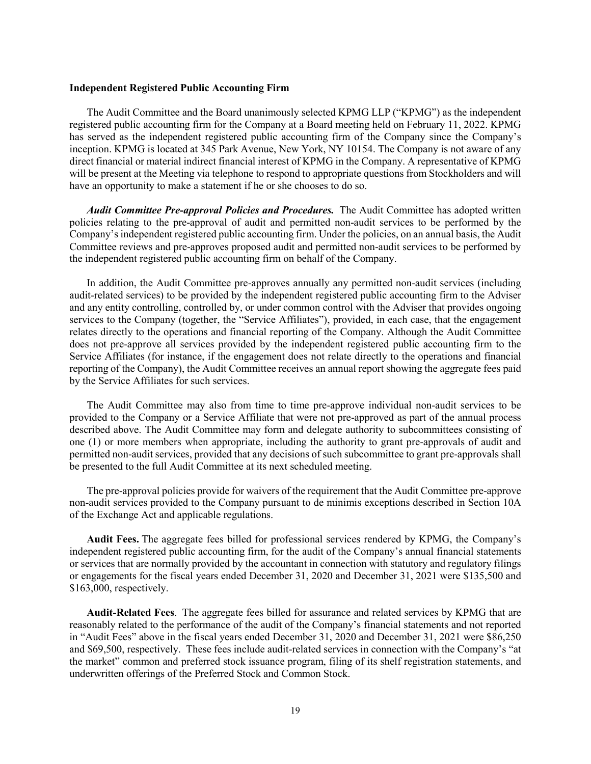#### **Independent Registered Public Accounting Firm**

The Audit Committee and the Board unanimously selected KPMG LLP ("KPMG") as the independent registered public accounting firm for the Company at a Board meeting held on February 11, 2022. KPMG has served as the independent registered public accounting firm of the Company since the Company's inception. KPMG is located at 345 Park Avenue, New York, NY 10154. The Company is not aware of any direct financial or material indirect financial interest of KPMG in the Company. A representative of KPMG will be present at the Meeting via telephone to respond to appropriate questions from Stockholders and will have an opportunity to make a statement if he or she chooses to do so.

*Audit Committee Pre-approval Policies and Procedures.* The Audit Committee has adopted written policies relating to the pre-approval of audit and permitted non-audit services to be performed by the Company's independent registered public accounting firm. Under the policies, on an annual basis, the Audit Committee reviews and pre-approves proposed audit and permitted non-audit services to be performed by the independent registered public accounting firm on behalf of the Company.

In addition, the Audit Committee pre-approves annually any permitted non-audit services (including audit-related services) to be provided by the independent registered public accounting firm to the Adviser and any entity controlling, controlled by, or under common control with the Adviser that provides ongoing services to the Company (together, the "Service Affiliates"), provided, in each case, that the engagement relates directly to the operations and financial reporting of the Company. Although the Audit Committee does not pre-approve all services provided by the independent registered public accounting firm to the Service Affiliates (for instance, if the engagement does not relate directly to the operations and financial reporting of the Company), the Audit Committee receives an annual report showing the aggregate fees paid by the Service Affiliates for such services.

The Audit Committee may also from time to time pre-approve individual non-audit services to be provided to the Company or a Service Affiliate that were not pre-approved as part of the annual process described above. The Audit Committee may form and delegate authority to subcommittees consisting of one (1) or more members when appropriate, including the authority to grant pre-approvals of audit and permitted non-audit services, provided that any decisions of such subcommittee to grant pre-approvals shall be presented to the full Audit Committee at its next scheduled meeting.

The pre-approval policies provide for waivers of the requirement that the Audit Committee pre-approve non-audit services provided to the Company pursuant to de minimis exceptions described in Section 10A of the Exchange Act and applicable regulations.

**Audit Fees.** The aggregate fees billed for professional services rendered by KPMG, the Company's independent registered public accounting firm, for the audit of the Company's annual financial statements or services that are normally provided by the accountant in connection with statutory and regulatory filings or engagements for the fiscal years ended December 31, 2020 and December 31, 2021 were \$135,500 and \$163,000, respectively.

**Audit-Related Fees**. The aggregate fees billed for assurance and related services by KPMG that are reasonably related to the performance of the audit of the Company's financial statements and not reported in "Audit Fees" above in the fiscal years ended December 31, 2020 and December 31, 2021 were \$86,250 and \$69,500, respectively. These fees include audit-related services in connection with the Company's "at the market" common and preferred stock issuance program, filing of its shelf registration statements, and underwritten offerings of the Preferred Stock and Common Stock.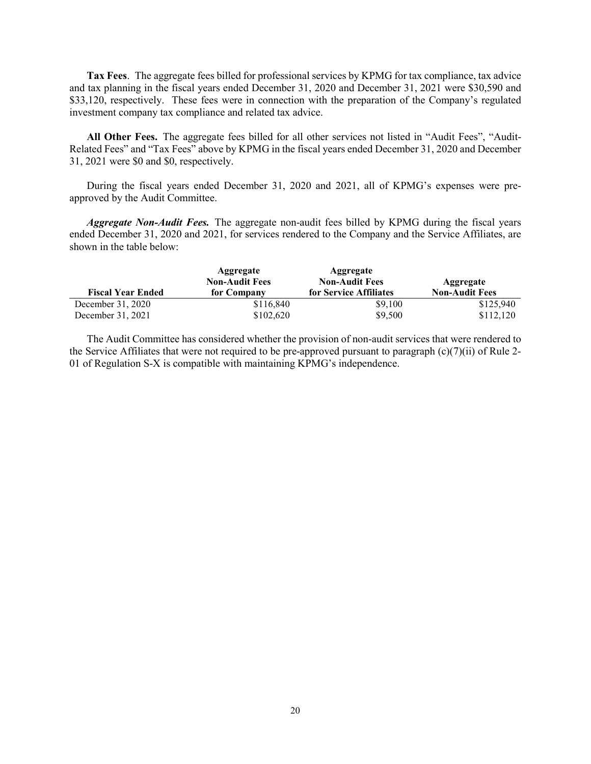**Tax Fees**. The aggregate fees billed for professional services by KPMG for tax compliance, tax advice and tax planning in the fiscal years ended December 31, 2020 and December 31, 2021 were \$30,590 and \$33,120, respectively. These fees were in connection with the preparation of the Company's regulated investment company tax compliance and related tax advice.

**All Other Fees.** The aggregate fees billed for all other services not listed in "Audit Fees", "Audit-Related Fees" and "Tax Fees" above by KPMG in the fiscal years ended December 31, 2020 and December 31, 2021 were \$0 and \$0, respectively.

During the fiscal years ended December 31, 2020 and 2021, all of KPMG's expenses were preapproved by the Audit Committee.

*Aggregate Non-Audit Fees.* The aggregate non-audit fees billed by KPMG during the fiscal years ended December 31, 2020 and 2021, for services rendered to the Company and the Service Affiliates, are shown in the table below:

|                          | Aggregate<br><b>Non-Audit Fees</b> | Aggregate<br><b>Non-Audit Fees</b> | Aggregate             |
|--------------------------|------------------------------------|------------------------------------|-----------------------|
| <b>Fiscal Year Ended</b> | for Company                        | for Service Affiliates             | <b>Non-Audit Fees</b> |
| December 31, 2020        | \$116,840                          | \$9,100                            | \$125,940             |
| December 31, 2021        | \$102,620                          | \$9,500                            | \$112,120             |

The Audit Committee has considered whether the provision of non-audit services that were rendered to the Service Affiliates that were not required to be pre-approved pursuant to paragraph (c)(7)(ii) of Rule 2- 01 of Regulation S-X is compatible with maintaining KPMG's independence.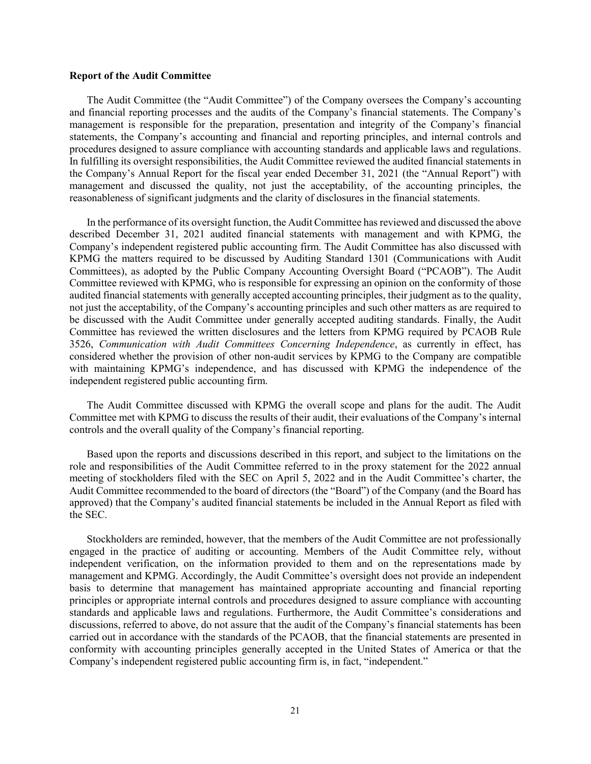#### **Report of the Audit Committee**

The Audit Committee (the "Audit Committee") of the Company oversees the Company's accounting and financial reporting processes and the audits of the Company's financial statements. The Company's management is responsible for the preparation, presentation and integrity of the Company's financial statements, the Company's accounting and financial and reporting principles, and internal controls and procedures designed to assure compliance with accounting standards and applicable laws and regulations. In fulfilling its oversight responsibilities, the Audit Committee reviewed the audited financial statements in the Company's Annual Report for the fiscal year ended December 31, 2021 (the "Annual Report") with management and discussed the quality, not just the acceptability, of the accounting principles, the reasonableness of significant judgments and the clarity of disclosures in the financial statements.

In the performance of its oversight function, the Audit Committee has reviewed and discussed the above described December 31, 2021 audited financial statements with management and with KPMG, the Company's independent registered public accounting firm. The Audit Committee has also discussed with KPMG the matters required to be discussed by Auditing Standard 1301 (Communications with Audit Committees), as adopted by the Public Company Accounting Oversight Board ("PCAOB"). The Audit Committee reviewed with KPMG, who is responsible for expressing an opinion on the conformity of those audited financial statements with generally accepted accounting principles, their judgment as to the quality, not just the acceptability, of the Company's accounting principles and such other matters as are required to be discussed with the Audit Committee under generally accepted auditing standards. Finally, the Audit Committee has reviewed the written disclosures and the letters from KPMG required by PCAOB Rule 3526, *Communication with Audit Committees Concerning Independence*, as currently in effect, has considered whether the provision of other non-audit services by KPMG to the Company are compatible with maintaining KPMG's independence, and has discussed with KPMG the independence of the independent registered public accounting firm.

The Audit Committee discussed with KPMG the overall scope and plans for the audit. The Audit Committee met with KPMG to discuss the results of their audit, their evaluations of the Company's internal controls and the overall quality of the Company's financial reporting.

Based upon the reports and discussions described in this report, and subject to the limitations on the role and responsibilities of the Audit Committee referred to in the proxy statement for the 2022 annual meeting of stockholders filed with the SEC on April 5, 2022 and in the Audit Committee's charter, the Audit Committee recommended to the board of directors (the "Board") of the Company (and the Board has approved) that the Company's audited financial statements be included in the Annual Report as filed with the SEC.

Stockholders are reminded, however, that the members of the Audit Committee are not professionally engaged in the practice of auditing or accounting. Members of the Audit Committee rely, without independent verification, on the information provided to them and on the representations made by management and KPMG. Accordingly, the Audit Committee's oversight does not provide an independent basis to determine that management has maintained appropriate accounting and financial reporting principles or appropriate internal controls and procedures designed to assure compliance with accounting standards and applicable laws and regulations. Furthermore, the Audit Committee's considerations and discussions, referred to above, do not assure that the audit of the Company's financial statements has been carried out in accordance with the standards of the PCAOB, that the financial statements are presented in conformity with accounting principles generally accepted in the United States of America or that the Company's independent registered public accounting firm is, in fact, "independent."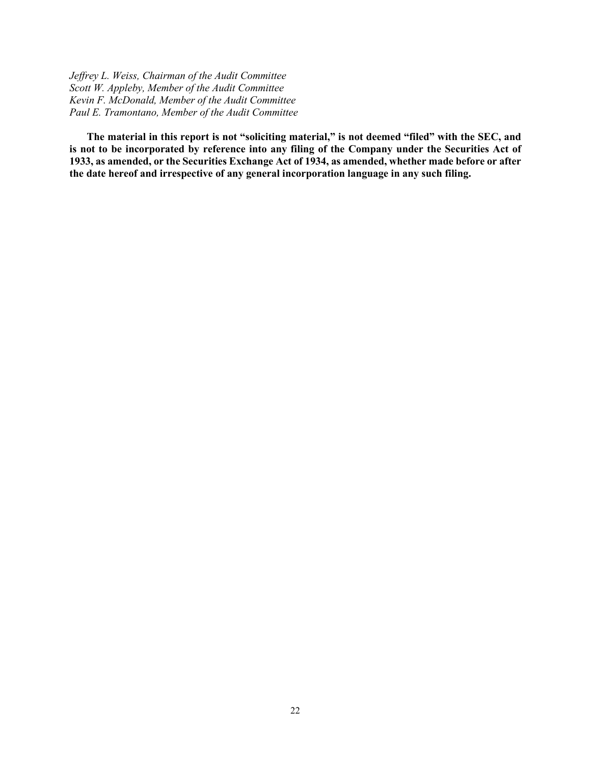*Jeffrey L. Weiss, Chairman of the Audit Committee Scott W. Appleby, Member of the Audit Committee Kevin F. McDonald, Member of the Audit Committee Paul E. Tramontano, Member of the Audit Committee*

**The material in this report is not "soliciting material," is not deemed "filed" with the SEC, and is not to be incorporated by reference into any filing of the Company under the Securities Act of 1933, as amended, or the Securities Exchange Act of 1934, as amended, whether made before or after the date hereof and irrespective of any general incorporation language in any such filing.**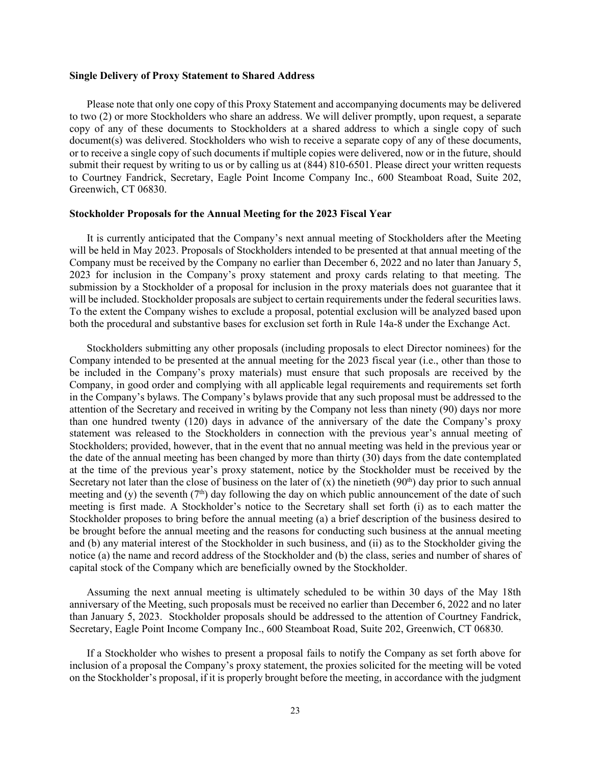#### **Single Delivery of Proxy Statement to Shared Address**

Please note that only one copy of this Proxy Statement and accompanying documents may be delivered to two (2) or more Stockholders who share an address. We will deliver promptly, upon request, a separate copy of any of these documents to Stockholders at a shared address to which a single copy of such document(s) was delivered. Stockholders who wish to receive a separate copy of any of these documents, or to receive a single copy of such documents if multiple copies were delivered, now or in the future, should submit their request by writing to us or by calling us at (844) 810-6501. Please direct your written requests to Courtney Fandrick, Secretary, Eagle Point Income Company Inc., 600 Steamboat Road, Suite 202, Greenwich, CT 06830.

#### **Stockholder Proposals for the Annual Meeting for the 2023 Fiscal Year**

It is currently anticipated that the Company's next annual meeting of Stockholders after the Meeting will be held in May 2023. Proposals of Stockholders intended to be presented at that annual meeting of the Company must be received by the Company no earlier than December 6, 2022 and no later than January 5, 2023 for inclusion in the Company's proxy statement and proxy cards relating to that meeting. The submission by a Stockholder of a proposal for inclusion in the proxy materials does not guarantee that it will be included. Stockholder proposals are subject to certain requirements under the federal securities laws. To the extent the Company wishes to exclude a proposal, potential exclusion will be analyzed based upon both the procedural and substantive bases for exclusion set forth in Rule 14a-8 under the Exchange Act.

Stockholders submitting any other proposals (including proposals to elect Director nominees) for the Company intended to be presented at the annual meeting for the 2023 fiscal year (i.e., other than those to be included in the Company's proxy materials) must ensure that such proposals are received by the Company, in good order and complying with all applicable legal requirements and requirements set forth in the Company's bylaws. The Company's bylaws provide that any such proposal must be addressed to the attention of the Secretary and received in writing by the Company not less than ninety (90) days nor more than one hundred twenty (120) days in advance of the anniversary of the date the Company's proxy statement was released to the Stockholders in connection with the previous year's annual meeting of Stockholders; provided, however, that in the event that no annual meeting was held in the previous year or the date of the annual meeting has been changed by more than thirty (30) days from the date contemplated at the time of the previous year's proxy statement, notice by the Stockholder must be received by the Secretary not later than the close of business on the later of  $(x)$  the ninetieth  $(90<sup>th</sup>)$  day prior to such annual meeting and (y) the seventh  $(7<sup>th</sup>)$  day following the day on which public announcement of the date of such meeting is first made. A Stockholder's notice to the Secretary shall set forth (i) as to each matter the Stockholder proposes to bring before the annual meeting (a) a brief description of the business desired to be brought before the annual meeting and the reasons for conducting such business at the annual meeting and (b) any material interest of the Stockholder in such business, and (ii) as to the Stockholder giving the notice (a) the name and record address of the Stockholder and (b) the class, series and number of shares of capital stock of the Company which are beneficially owned by the Stockholder.

Assuming the next annual meeting is ultimately scheduled to be within 30 days of the May 18th anniversary of the Meeting, such proposals must be received no earlier than December 6, 2022 and no later than January 5, 2023. Stockholder proposals should be addressed to the attention of Courtney Fandrick, Secretary, Eagle Point Income Company Inc., 600 Steamboat Road, Suite 202, Greenwich, CT 06830.

If a Stockholder who wishes to present a proposal fails to notify the Company as set forth above for inclusion of a proposal the Company's proxy statement, the proxies solicited for the meeting will be voted on the Stockholder's proposal, if it is properly brought before the meeting, in accordance with the judgment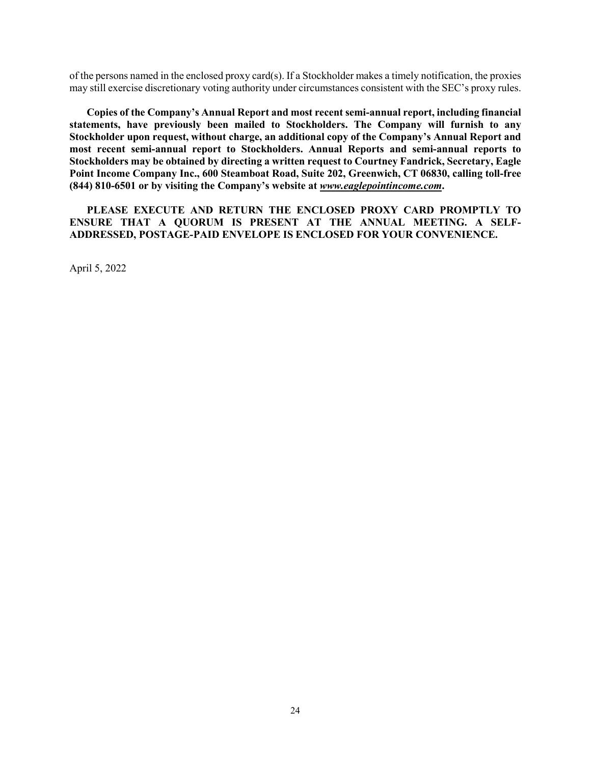of the persons named in the enclosed proxy card(s). If a Stockholder makes a timely notification, the proxies may still exercise discretionary voting authority under circumstances consistent with the SEC's proxy rules.

**Copies of the Company's Annual Report and most recent semi-annual report, including financial statements, have previously been mailed to Stockholders. The Company will furnish to any Stockholder upon request, without charge, an additional copy of the Company's Annual Report and most recent semi-annual report to Stockholders. Annual Reports and semi-annual reports to Stockholders may be obtained by directing a written request to Courtney Fandrick, Secretary, Eagle Point Income Company Inc., 600 Steamboat Road, Suite 202, Greenwich, CT 06830, calling toll-free (844) 810-6501 or by visiting the Company's website at** *www.eaglepointincome.com***.**

**PLEASE EXECUTE AND RETURN THE ENCLOSED PROXY CARD PROMPTLY TO ENSURE THAT A QUORUM IS PRESENT AT THE ANNUAL MEETING. A SELF-ADDRESSED, POSTAGE-PAID ENVELOPE IS ENCLOSED FOR YOUR CONVENIENCE.**

April 5, 2022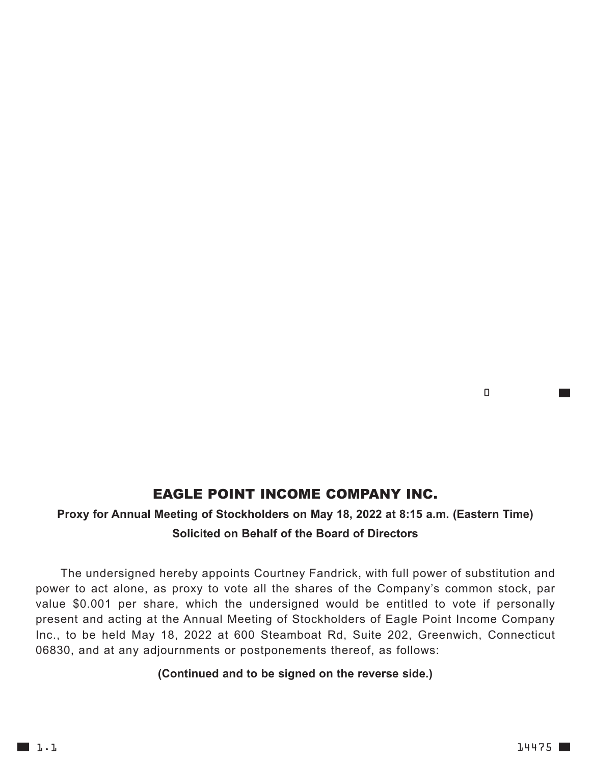### EAGLE POINT INCOME COMPANY INC.

### **Proxy for Annual Meeting of Stockholders on May 18, 2022 at 8:15 a.m. (Eastern Time) Solicited on Behalf of the Board of Directors**

The undersigned hereby appoints Courtney Fandrick, with full power of substitution and power to act alone, as proxy to vote all the shares of the Company's common stock, par value \$0.001 per share, which the undersigned would be entitled to vote if personally present and acting at the Annual Meeting of Stockholders of Eagle Point Income Company Inc., to be held May 18, 2022 at 600 Steamboat Rd, Suite 202, Greenwich, Connecticut 06830, and at any adjournments or postponements thereof, as follows:

#### **(Continued and to be signed on the reverse side.)**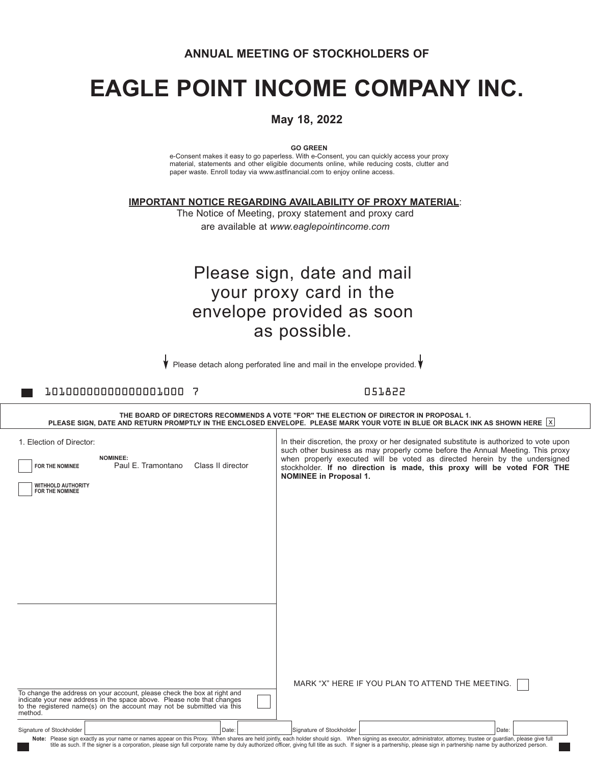#### **ANNUAL MEETING OF STOCKHOLDERS OF**

# **EAGLE POINT INCOME COMPANY INC.**

#### **May 18, 2022**

**GO GREEN**

e-Consent makes it easy to go paperless. With e-Consent, you can quickly access your proxy material, statements and other eligible documents online, while reducing costs, clutter and paper waste. Enroll today via www.astfinancial.com to enjoy online access.

**IMPORTANT NOTICE REGARDING AVAILABILITY OF PROXY MATERIAL**:

The Notice of Meeting, proxy statement and proxy card are available at *www.eaglepointincome.com*

## Please sign, date and mail your proxy card in the envelope provided as soon as possible.

Please detach along perforated line and mail in the envelope provided.

10100000000000001000 7 051822

|                                                                                                                                                                                                                                                                              | THE BOARD OF DIRECTORS RECOMMENDS A VOTE "FOR" THE ELECTION OF DIRECTOR IN PROPOSAL 1.<br>PLEASE SIGN, DATE AND RETURN PROMPTLY IN THE ENCLOSED ENVELOPE. PLEASE MARK YOUR VOTE IN BLUE OR BLACK INK AS SHOWN HERE $ X $                                                                                                                                          |
|------------------------------------------------------------------------------------------------------------------------------------------------------------------------------------------------------------------------------------------------------------------------------|-------------------------------------------------------------------------------------------------------------------------------------------------------------------------------------------------------------------------------------------------------------------------------------------------------------------------------------------------------------------|
| 1. Election of Director:<br><b>NOMINEE:</b><br>Paul E. Tramontano<br>Class II director<br>FOR THE NOMINEE<br><b>WITHHOLD AUTHORITY</b><br>FOR THE NOMINEE                                                                                                                    | In their discretion, the proxy or her designated substitute is authorized to vote upon<br>such other business as may properly come before the Annual Meeting. This proxy<br>when properly executed will be voted as directed herein by the undersigned<br>stockholder. If no direction is made, this proxy will be voted FOR THE<br><b>NOMINEE in Proposal 1.</b> |
| To change the address on your account, please check the box at right and<br>indicate your new address in the space above. Please note that changes<br>to the registered name(s) on the account may not be submitted via this<br>method.<br>Signature of Stockholder<br>Date: | MARK "X" HERE IF YOU PLAN TO ATTEND THE MEETING.<br>Signature of Stockholder<br>Date:<br>Note: Please sign exactly as your name or names appear on this Proxy. When shares are held jointly, each holder should sign. When signing as executor, administrator, attorney, trustee or guardian, please give full<br>title as                                        |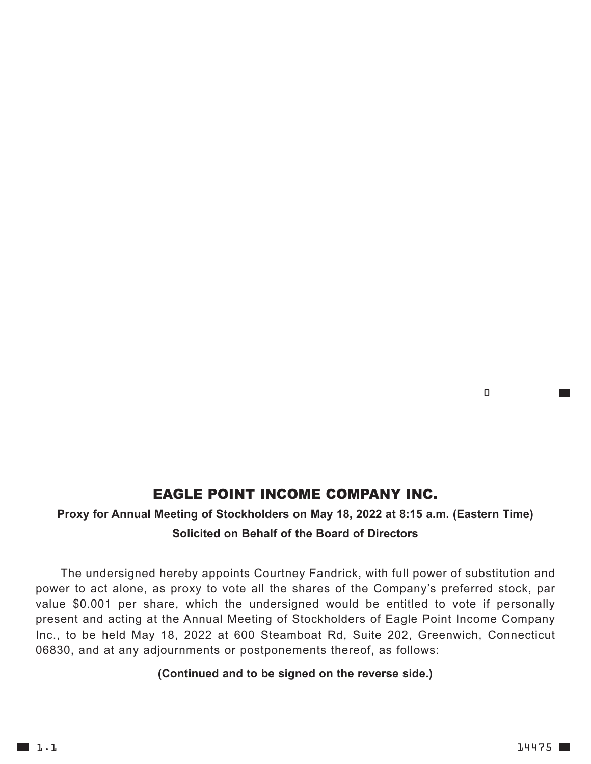### EAGLE POINT INCOME COMPANY INC.

### **Proxy for Annual Meeting of Stockholders on May 18, 2022 at 8:15 a.m. (Eastern Time) Solicited on Behalf of the Board of Directors**

The undersigned hereby appoints Courtney Fandrick, with full power of substitution and power to act alone, as proxy to vote all the shares of the Company's preferred stock, par value \$0.001 per share, which the undersigned would be entitled to vote if personally present and acting at the Annual Meeting of Stockholders of Eagle Point Income Company Inc., to be held May 18, 2022 at 600 Steamboat Rd, Suite 202, Greenwich, Connecticut 06830, and at any adjournments or postponements thereof, as follows:

#### **(Continued and to be signed on the reverse side.)**